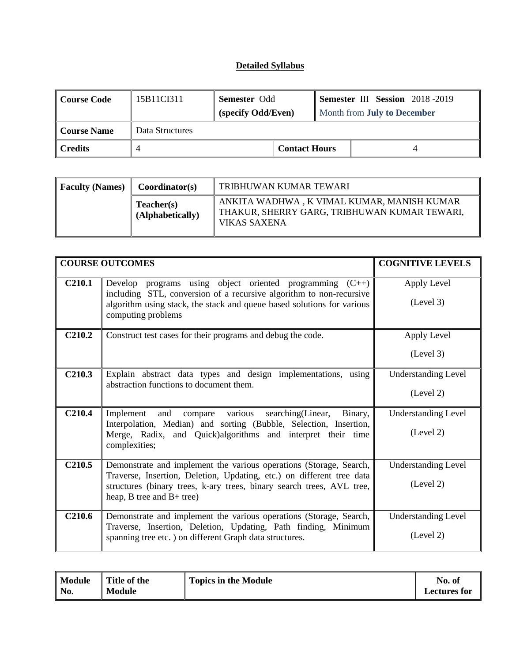| Course Code         | 15B11CI311      | <b>Semester Odd</b><br>(specify Odd/Even) |                      | <b>Semester III Session</b> 2018-2019<br>Month from <b>July to December</b> |  |
|---------------------|-----------------|-------------------------------------------|----------------------|-----------------------------------------------------------------------------|--|
| Course Name         | Data Structures |                                           |                      |                                                                             |  |
| $\parallel$ Credits |                 |                                           | <b>Contact Hours</b> |                                                                             |  |

| <b>Faculty (Names)</b> | Coordinator(s)                 | TRIBHUWAN KUMAR TEWARI                                                                                     |
|------------------------|--------------------------------|------------------------------------------------------------------------------------------------------------|
|                        | Teacher(s)<br>(Alphabetically) | ANKITA WADHWA, K VIMAL KUMAR, MANISH KUMAR<br>THAKUR, SHERRY GARG, TRIBHUWAN KUMAR TEWARI,<br>VIKAS SAXENA |

|                    | <b>COURSE OUTCOMES</b>                                                                                                                                              | <b>COGNITIVE LEVELS</b>    |
|--------------------|---------------------------------------------------------------------------------------------------------------------------------------------------------------------|----------------------------|
| C <sub>210.1</sub> | Develop programs using object oriented programming $(C++)$                                                                                                          | Apply Level                |
|                    | including STL, conversion of a recursive algorithm to non-recursive<br>algorithm using stack, the stack and queue based solutions for various<br>computing problems | (Level 3)                  |
| C <sub>210.2</sub> | Construct test cases for their programs and debug the code.                                                                                                         | Apply Level                |
|                    |                                                                                                                                                                     | (Level 3)                  |
| C <sub>210.3</sub> | Explain abstract data types and design implementations, using                                                                                                       | <b>Understanding Level</b> |
|                    | abstraction functions to document them.                                                                                                                             | (Level 2)                  |
| C <sub>210.4</sub> | compare various<br>searching(Linear,<br>Implement<br>and<br>Binary,                                                                                                 | <b>Understanding Level</b> |
|                    | Interpolation, Median) and sorting (Bubble, Selection, Insertion,<br>Merge, Radix, and Quick) algorithms and interpret their time<br>complexities;                  | (Level 2)                  |
| C <sub>210.5</sub> | Demonstrate and implement the various operations (Storage, Search,                                                                                                  | <b>Understanding Level</b> |
|                    | Traverse, Insertion, Deletion, Updating, etc.) on different tree data<br>structures (binary trees, k-ary trees, binary search trees, AVL tree,                      | (Level 2)                  |
|                    | heap, $B$ tree and $B+$ tree)                                                                                                                                       |                            |
| C <sub>210.6</sub> | Demonstrate and implement the various operations (Storage, Search,                                                                                                  | <b>Understanding Level</b> |
|                    | Traverse, Insertion, Deletion, Updating, Path finding, Minimum<br>spanning tree etc.) on different Graph data structures.                                           | (Level 2)                  |

| Module | Title of the  | <b>Topics in the Module</b> | No. of              |
|--------|---------------|-----------------------------|---------------------|
| No.    | <b>Module</b> |                             | <b>Lectures for</b> |
|        |               |                             |                     |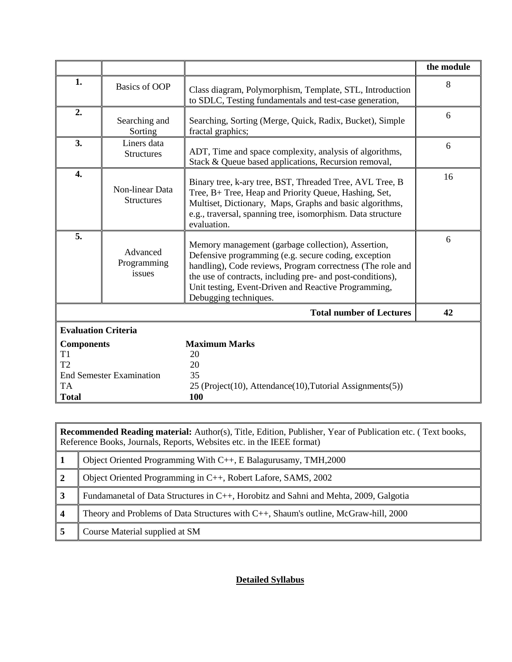|                                                                             |                                      |                                                                                                                                                                                                                                                                                                                         | the module |
|-----------------------------------------------------------------------------|--------------------------------------|-------------------------------------------------------------------------------------------------------------------------------------------------------------------------------------------------------------------------------------------------------------------------------------------------------------------------|------------|
| 1.                                                                          | <b>Basics of OOP</b>                 | Class diagram, Polymorphism, Template, STL, Introduction<br>to SDLC, Testing fundamentals and test-case generation,                                                                                                                                                                                                     | 8          |
| 2.                                                                          | Searching and<br>Sorting             | Searching, Sorting (Merge, Quick, Radix, Bucket), Simple<br>fractal graphics;                                                                                                                                                                                                                                           | 6          |
| 3.                                                                          | Liners data<br><b>Structures</b>     | ADT, Time and space complexity, analysis of algorithms,<br>Stack & Queue based applications, Recursion removal,                                                                                                                                                                                                         | 6          |
| 4.                                                                          | Non-linear Data<br><b>Structures</b> | Binary tree, k-ary tree, BST, Threaded Tree, AVL Tree, B<br>Tree, B+ Tree, Heap and Priority Queue, Hashing, Set,<br>Multiset, Dictionary, Maps, Graphs and basic algorithms,<br>e.g., traversal, spanning tree, isomorphism. Data structure<br>evaluation.                                                             | 16         |
| 5.                                                                          | Advanced<br>Programming<br>issues    | Memory management (garbage collection), Assertion,<br>Defensive programming (e.g. secure coding, exception<br>handling), Code reviews, Program correctness (The role and<br>the use of contracts, including pre- and post-conditions),<br>Unit testing, Event-Driven and Reactive Programming,<br>Debugging techniques. | 6          |
|                                                                             |                                      | <b>Total number of Lectures</b>                                                                                                                                                                                                                                                                                         | 42         |
| <b>Evaluation Criteria</b>                                                  |                                      |                                                                                                                                                                                                                                                                                                                         |            |
| <b>Components</b><br>T <sub>1</sub><br>T <sub>2</sub><br>TA<br><b>Total</b> | <b>End Semester Examination</b>      | <b>Maximum Marks</b><br>20<br>20<br>35<br>25 (Project(10), Attendance(10), Tutorial Assignments(5))<br>100                                                                                                                                                                                                              |            |

|   | <b>Recommended Reading material:</b> Author(s), Title, Edition, Publisher, Year of Publication etc. (Text books,<br>Reference Books, Journals, Reports, Websites etc. in the IEEE format) |  |  |  |  |
|---|-------------------------------------------------------------------------------------------------------------------------------------------------------------------------------------------|--|--|--|--|
|   | Object Oriented Programming With C++, E Balagurusamy, TMH, 2000                                                                                                                           |  |  |  |  |
|   | Object Oriented Programming in C++, Robert Lafore, SAMS, 2002                                                                                                                             |  |  |  |  |
| 3 | Fundamanetal of Data Structures in C++, Horobitz and Sahni and Mehta, 2009, Galgotia                                                                                                      |  |  |  |  |
|   | Theory and Problems of Data Structures with C++, Shaum's outline, McGraw-hill, 2000                                                                                                       |  |  |  |  |
|   | Course Material supplied at SM                                                                                                                                                            |  |  |  |  |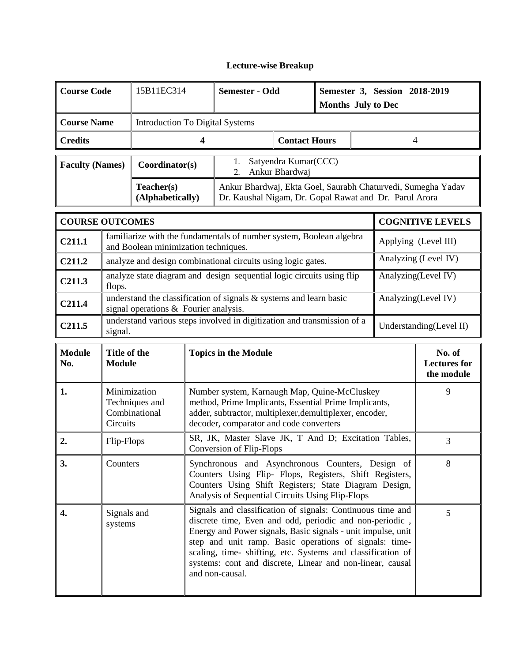# **Lecture-wise Breakup**

| <b>Course Code</b>     | 15B11EC314                      | Semester - Odd                                                                                                         |  | Semester 3, Session 2018-2019<br><b>Months</b> July to Dec |  |
|------------------------|---------------------------------|------------------------------------------------------------------------------------------------------------------------|--|------------------------------------------------------------|--|
| <b>Course Name</b>     | Introduction To Digital Systems |                                                                                                                        |  |                                                            |  |
| <b>Credits</b>         |                                 | <b>Contact Hours</b>                                                                                                   |  |                                                            |  |
| <b>Faculty (Names)</b> | Coordinator(s)                  | Satyendra Kumar(CCC)<br>Ankur Bhardwaj<br>2 <sub>1</sub>                                                               |  |                                                            |  |
|                        | Teacher(s)<br>(Alphabetically)  | Ankur Bhardwaj, Ekta Goel, Saurabh Chaturvedi, Sumegha Yadav<br>Dr. Kaushal Nigam, Dr. Gopal Rawat and Dr. Parul Arora |  |                                                            |  |
|                        |                                 |                                                                                                                        |  |                                                            |  |

|                    | <b>COURSE OUTCOMES</b>                                                                                         | <b>COGNITIVE LEVELS</b>  |
|--------------------|----------------------------------------------------------------------------------------------------------------|--------------------------|
| C <sub>211.1</sub> | familiarize with the fundamentals of number system, Boolean algebra<br>and Boolean minimization techniques.    | Applying (Level III)     |
| C <sub>211.2</sub> | analyze and design combinational circuits using logic gates.                                                   | Analyzing (Level IV)     |
| C <sub>211.3</sub> | analyze state diagram and design sequential logic circuits using flip<br>flops.                                | Analyzing(Level IV)      |
| C <sub>211.4</sub> | understand the classification of signals $\&$ systems and learn basic<br>signal operations & Fourier analysis. | Analyzing(Level IV)      |
| C <sub>211.5</sub> | understand various steps involved in digitization and transmission of a<br>signal.                             | Understanding (Level II) |

| <b>Module</b><br>No. | Title of the<br><b>Module</b>                               | <b>Topics in the Module</b>                                                                                                                                                                                                                                                                                                                                                                   | No. of<br><b>Lectures for</b><br>the module |
|----------------------|-------------------------------------------------------------|-----------------------------------------------------------------------------------------------------------------------------------------------------------------------------------------------------------------------------------------------------------------------------------------------------------------------------------------------------------------------------------------------|---------------------------------------------|
| 1.                   | Minimization<br>Techniques and<br>Combinational<br>Circuits | Number system, Karnaugh Map, Quine-McCluskey<br>method, Prime Implicants, Essential Prime Implicants,<br>adder, subtractor, multiplexer, demultiplexer, encoder,<br>decoder, comparator and code converters                                                                                                                                                                                   | 9                                           |
| 2.                   | Flip-Flops                                                  | SR, JK, Master Slave JK, T And D; Excitation Tables,<br>Conversion of Flip-Flops                                                                                                                                                                                                                                                                                                              | 3                                           |
| 3.                   | Counters                                                    | Synchronous and Asynchronous Counters, Design of<br>Counters Using Flip- Flops, Registers, Shift Registers,<br>Counters Using Shift Registers; State Diagram Design,<br>Analysis of Sequential Circuits Using Flip-Flops                                                                                                                                                                      | 8                                           |
| 4.                   | Signals and<br>systems                                      | Signals and classification of signals: Continuous time and<br>discrete time, Even and odd, periodic and non-periodic,<br>Energy and Power signals, Basic signals - unit impulse, unit<br>step and unit ramp. Basic operations of signals: time-<br>scaling, time-shifting, etc. Systems and classification of<br>systems: cont and discrete, Linear and non-linear, causal<br>and non-causal. | 5                                           |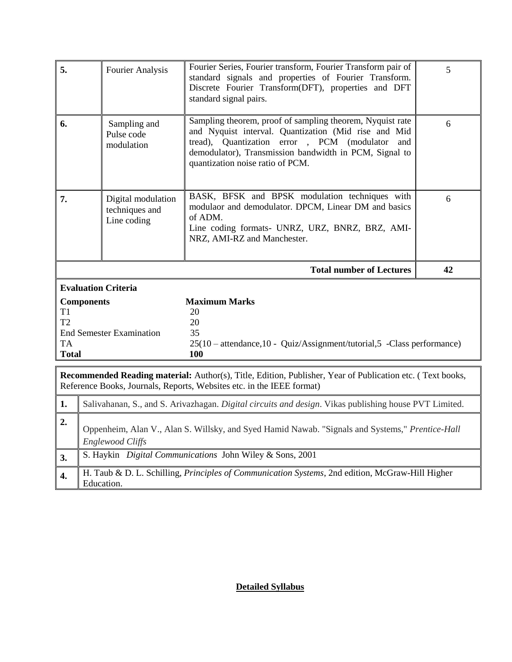| 5.                                                            | <b>Fourier Analysis</b>                                                                                                    | Fourier Series, Fourier transform, Fourier Transform pair of<br>standard signals and properties of Fourier Transform.<br>Discrete Fourier Transform(DFT), properties and DFT<br>standard signal pairs.                                                               | 5  |  |  |  |
|---------------------------------------------------------------|----------------------------------------------------------------------------------------------------------------------------|----------------------------------------------------------------------------------------------------------------------------------------------------------------------------------------------------------------------------------------------------------------------|----|--|--|--|
| 6.                                                            | Sampling and<br>Pulse code<br>modulation                                                                                   | Sampling theorem, proof of sampling theorem, Nyquist rate<br>and Nyquist interval. Quantization (Mid rise and Mid<br>tread), Quantization error, PCM (modulator<br>and<br>demodulator), Transmission bandwidth in PCM, Signal to<br>quantization noise ratio of PCM. | 6  |  |  |  |
| 7.                                                            | Digital modulation<br>techniques and<br>Line coding                                                                        | BASK, BFSK and BPSK modulation techniques with<br>modulaor and demodulator. DPCM, Linear DM and basics<br>of ADM.<br>Line coding formats- UNRZ, URZ, BNRZ, BRZ, AMI-<br>NRZ, AMI-RZ and Manchester.                                                                  | 6  |  |  |  |
|                                                               |                                                                                                                            | <b>Total number of Lectures</b>                                                                                                                                                                                                                                      | 42 |  |  |  |
|                                                               | <b>Evaluation Criteria</b>                                                                                                 |                                                                                                                                                                                                                                                                      |    |  |  |  |
| T <sub>1</sub><br>T <sub>2</sub><br><b>TA</b><br><b>Total</b> | <b>Components</b><br><b>End Semester Examination</b>                                                                       | <b>Maximum Marks</b><br>20<br>20<br>35<br>$25(10 - \text{attendance}, 10 - \text{Quiz/Assignment/tutorial}, 5 - \text{Class performance})$<br>100                                                                                                                    |    |  |  |  |
|                                                               |                                                                                                                            | Recommended Reading material: Author(s), Title, Edition, Publisher, Year of Publication etc. (Text books,                                                                                                                                                            |    |  |  |  |
|                                                               |                                                                                                                            | Reference Books, Journals, Reports, Websites etc. in the IEEE format)                                                                                                                                                                                                |    |  |  |  |
| 1.                                                            | Salivahanan, S., and S. Arivazhagan. Digital circuits and design. Vikas publishing house PVT Limited.                      |                                                                                                                                                                                                                                                                      |    |  |  |  |
| 2.                                                            | Oppenheim, Alan V., Alan S. Willsky, and Syed Hamid Nawab. "Signals and Systems," Prentice-Hall<br><b>Englewood Cliffs</b> |                                                                                                                                                                                                                                                                      |    |  |  |  |
| 3.                                                            |                                                                                                                            | S. Haykin Digital Communications John Wiley & Sons, 2001                                                                                                                                                                                                             |    |  |  |  |
| 4.                                                            | H. Taub & D. L. Schilling, Principles of Communication Systems, 2nd edition, McGraw-Hill Higher<br>Education.              |                                                                                                                                                                                                                                                                      |    |  |  |  |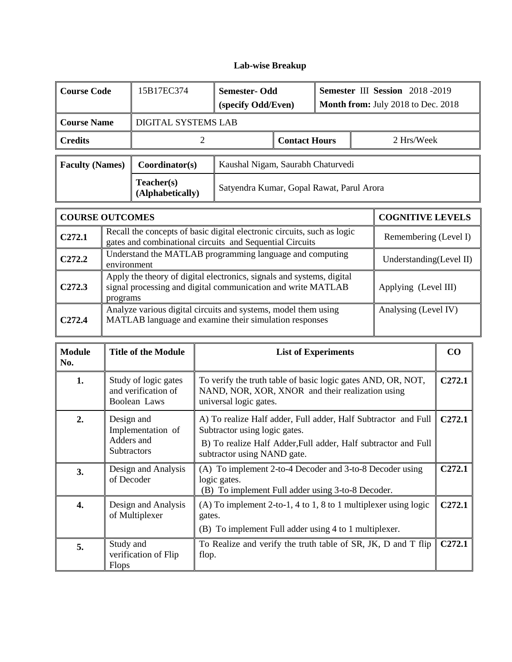# **Lab-wise Breakup**

| <b>Course Code</b>     | 15B17EC374                     | <b>Semester-Odd</b><br>(specify Odd/Even) |  | Semester III Session 2018-2019<br>Month from: July 2018 to Dec. 2018 |            |
|------------------------|--------------------------------|-------------------------------------------|--|----------------------------------------------------------------------|------------|
| <b>Course Name</b>     | DIGITAL SYSTEMS LAB            |                                           |  |                                                                      |            |
| <b>Credits</b>         |                                | <b>Contact Hours</b>                      |  |                                                                      | 2 Hrs/Week |
| <b>Faculty (Names)</b> | Coordinator(s)                 | Kaushal Nigam, Saurabh Chaturvedi         |  |                                                                      |            |
|                        | Teacher(s)<br>(Alphabetically) | Satyendra Kumar, Gopal Rawat, Parul Arora |  |                                                                      |            |

|                    | <b>COURSE OUTCOMES</b>                                                                                                                            | <b>COGNITIVE LEVELS</b> |
|--------------------|---------------------------------------------------------------------------------------------------------------------------------------------------|-------------------------|
| C <sub>272.1</sub> | Recall the concepts of basic digital electronic circuits, such as logic<br>gates and combinational circuits and Sequential Circuits               | Remembering (Level I)   |
| C <sub>272.2</sub> | Understand the MATLAB programming language and computing<br>environment                                                                           | Understanding(Level II) |
| C <sub>272.3</sub> | Apply the theory of digital electronics, signals and systems, digital<br>signal processing and digital communication and write MATLAB<br>programs | Applying (Level III)    |
| C <sub>272.4</sub> | Analyze various digital circuits and systems, model them using<br>MATLAB language and examine their simulation responses                          | Analysing (Level IV)    |

| <b>Module</b><br>No. | <b>Title of the Module</b>                                          | <b>List of Experiments</b>                                                                                                                                                                       | $\bf CO$           |
|----------------------|---------------------------------------------------------------------|--------------------------------------------------------------------------------------------------------------------------------------------------------------------------------------------------|--------------------|
| 1.                   | Study of logic gates<br>and verification of<br>Boolean Laws         | To verify the truth table of basic logic gates AND, OR, NOT,<br>NAND, NOR, XOR, XNOR and their realization using<br>universal logic gates.                                                       | C <sub>272.1</sub> |
| 2.                   | Design and<br>Implementation of<br>Adders and<br><b>Subtractors</b> | A) To realize Half adder, Full adder, Half Subtractor and Full<br>Subtractor using logic gates.<br>B) To realize Half Adder, Full adder, Half subtractor and Full<br>subtractor using NAND gate. | C <sub>272.1</sub> |
| 3.                   | Design and Analysis<br>of Decoder                                   | (A) To implement 2-to-4 Decoder and 3-to-8 Decoder using<br>logic gates.<br>(B) To implement Full adder using 3-to-8 Decoder.                                                                    | C <sub>272.1</sub> |
| 4.                   | Design and Analysis<br>of Multiplexer                               | (A) To implement 2-to-1, 4 to 1, 8 to 1 multiplexer using logic<br>gates.<br>(B) To implement Full adder using 4 to 1 multiplexer.                                                               | C <sub>272.1</sub> |
| 5.                   | Study and<br>verification of Flip<br>Flops                          | To Realize and verify the truth table of SR, JK, D and T flip<br>flop.                                                                                                                           | C272.1             |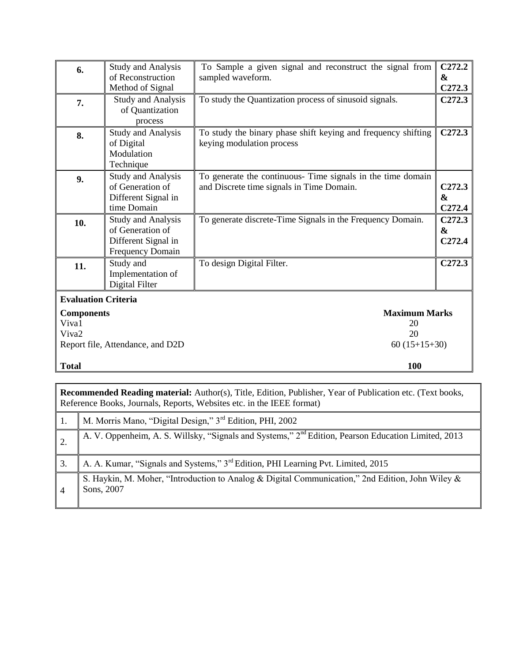| 6.                                              | <b>Study and Analysis</b><br>of Reconstruction<br>Method of Signal                              | To Sample a given signal and reconstruct the signal from<br>sampled waveform.                            | C <sub>272.2</sub><br>$\mathbf{\alpha}$<br>C <sub>272.3</sub> |
|-------------------------------------------------|-------------------------------------------------------------------------------------------------|----------------------------------------------------------------------------------------------------------|---------------------------------------------------------------|
| 7.                                              | <b>Study and Analysis</b><br>of Quantization<br>process                                         | To study the Quantization process of sinusoid signals.                                                   | C <sub>272.3</sub>                                            |
| 8.                                              | <b>Study and Analysis</b><br>of Digital<br>Modulation<br>Technique                              | To study the binary phase shift keying and frequency shifting<br>keying modulation process               | C <sub>272.3</sub>                                            |
| 9.                                              | <b>Study and Analysis</b><br>of Generation of<br>Different Signal in<br>time Domain             | To generate the continuous- Time signals in the time domain<br>and Discrete time signals in Time Domain. | C <sub>272.3</sub><br>$\mathbf{\alpha}$<br>C <sub>272.4</sub> |
| 10.                                             | <b>Study and Analysis</b><br>of Generation of<br>Different Signal in<br><b>Frequency Domain</b> | To generate discrete-Time Signals in the Frequency Domain.                                               | C272.3<br>&<br>C <sub>272.4</sub>                             |
| 11.                                             | Study and<br>Implementation of<br>Digital Filter                                                | To design Digital Filter.                                                                                | C <sub>272.3</sub>                                            |
| <b>Evaluation Criteria</b><br><b>Components</b> |                                                                                                 | <b>Maximum Marks</b>                                                                                     |                                                               |
| Viva1<br>Viva <sub>2</sub>                      |                                                                                                 | 20<br>20                                                                                                 |                                                               |
|                                                 | Report file, Attendance, and D2D                                                                | $60(15+15+30)$                                                                                           |                                                               |
| <b>Total</b>                                    |                                                                                                 | 100                                                                                                      |                                                               |

|                  | <b>Recommended Reading material:</b> Author(s), Title, Edition, Publisher, Year of Publication etc. (Text books,<br>Reference Books, Journals, Reports, Websites etc. in the IEEE format) |
|------------------|-------------------------------------------------------------------------------------------------------------------------------------------------------------------------------------------|
| -1.              | M. Morris Mano, "Digital Design," 3 <sup>rd</sup> Edition, PHI, 2002                                                                                                                      |
| $\overline{2}$ . | A. V. Oppenheim, A. S. Willsky, "Signals and Systems," 2 <sup>nd</sup> Edition, Pearson Education Limited, 2013                                                                           |
| 3.               | A. A. Kumar, "Signals and Systems," 3 <sup>rd</sup> Edition, PHI Learning Pvt. Limited, 2015                                                                                              |
| -4               | S. Haykin, M. Moher, "Introduction to Analog & Digital Communication," 2nd Edition, John Wiley &<br>Sons, 2007                                                                            |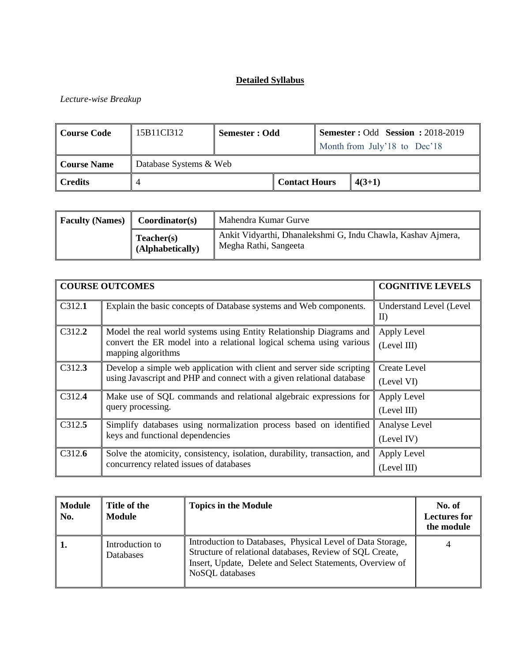### *Lecture-wise Breakup*

| Course Code | 15B11CI312             | Semester : Odd |                      | <b>Semester: Odd Session: 2018-2019</b> |
|-------------|------------------------|----------------|----------------------|-----------------------------------------|
|             |                        |                |                      | Month from July'18 to Dec'18            |
| Course Name | Database Systems & Web |                |                      |                                         |
| Credits     |                        |                | <b>Contact Hours</b> | $4(3+1)$                                |

| <b>Faculty (Names)</b> | Coordinator(s)                 | Mahendra Kumar Gurve                                                                  |
|------------------------|--------------------------------|---------------------------------------------------------------------------------------|
|                        | Teacher(s)<br>(Alphabetically) | Ankit Vidyarthi, Dhanalekshmi G, Indu Chawla, Kashav Ajmera,<br>Megha Rathi, Sangeeta |

|        | <b>COURSE OUTCOMES</b>                                                                                                                                           | <b>COGNITIVE LEVELS</b>         |
|--------|------------------------------------------------------------------------------------------------------------------------------------------------------------------|---------------------------------|
| C312.1 | Explain the basic concepts of Database systems and Web components.                                                                                               | Understand Level (Level)<br>II) |
| C312.2 | Model the real world systems using Entity Relationship Diagrams and<br>convert the ER model into a relational logical schema using various<br>mapping algorithms | Apply Level<br>(Level III)      |
| C312.3 | Develop a simple web application with client and server side scripting<br>using Javascript and PHP and connect with a given relational database                  | Create Level<br>(Level VI)      |
| C312.4 | Make use of SQL commands and relational algebraic expressions for<br>query processing.                                                                           | Apply Level<br>(Level III)      |
| C312.5 | Simplify databases using normalization process based on identified<br>keys and functional dependencies                                                           | Analyse Level<br>(Level IV)     |
| C312.6 | Solve the atomicity, consistency, isolation, durability, transaction, and<br>concurrency related issues of databases                                             | Apply Level<br>(Level III)      |

| Module<br>  No. | Title of the<br>Module       | <b>Topics in the Module</b>                                                                                                                                                                            | No. of<br><b>Lectures for</b><br>the module |
|-----------------|------------------------------|--------------------------------------------------------------------------------------------------------------------------------------------------------------------------------------------------------|---------------------------------------------|
| ' 1.            | Introduction to<br>Databases | Introduction to Databases, Physical Level of Data Storage,<br>Structure of relational databases, Review of SQL Create,<br>Insert, Update, Delete and Select Statements, Overview of<br>NoSQL databases |                                             |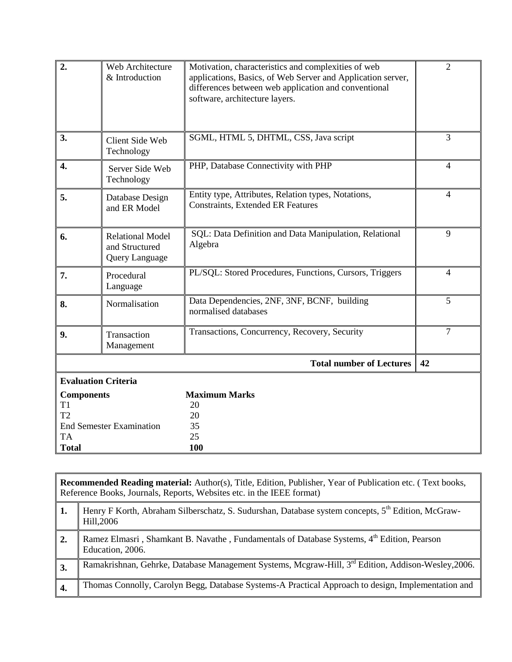| 2.                                                                                 | Web Architecture<br>& Introduction                          | Motivation, characteristics and complexities of web<br>applications, Basics, of Web Server and Application server,<br>differences between web application and conventional<br>software, architecture layers. | $\overline{2}$ |
|------------------------------------------------------------------------------------|-------------------------------------------------------------|--------------------------------------------------------------------------------------------------------------------------------------------------------------------------------------------------------------|----------------|
| 3.                                                                                 | Client Side Web<br>Technology                               | SGML, HTML 5, DHTML, CSS, Java script                                                                                                                                                                        | 3              |
| 4.                                                                                 | Server Side Web<br>Technology                               | PHP, Database Connectivity with PHP                                                                                                                                                                          | $\overline{4}$ |
| 5.                                                                                 | Database Design<br>and ER Model                             | Entity type, Attributes, Relation types, Notations,<br><b>Constraints, Extended ER Features</b>                                                                                                              | $\overline{4}$ |
| 6.                                                                                 | <b>Relational Model</b><br>and Structured<br>Query Language | SQL: Data Definition and Data Manipulation, Relational<br>Algebra                                                                                                                                            | 9              |
| 7.                                                                                 | Procedural<br>Language                                      | PL/SQL: Stored Procedures, Functions, Cursors, Triggers                                                                                                                                                      | $\overline{4}$ |
| 8.                                                                                 | Normalisation                                               | Data Dependencies, 2NF, 3NF, BCNF, building<br>normalised databases                                                                                                                                          | 5              |
| 9.                                                                                 | Transaction<br>Management                                   | Transactions, Concurrency, Recovery, Security                                                                                                                                                                | $\overline{7}$ |
|                                                                                    |                                                             | <b>Total number of Lectures</b>                                                                                                                                                                              | 42             |
|                                                                                    | <b>Evaluation Criteria</b>                                  |                                                                                                                                                                                                              |                |
| <b>Components</b><br>T <sub>1</sub><br>T <sub>2</sub><br><b>TA</b><br><b>Total</b> | <b>End Semester Examination</b>                             | <b>Maximum Marks</b><br>20<br>20<br>35<br>25<br>100                                                                                                                                                          |                |

|            | <b>Recommended Reading material:</b> Author(s), Title, Edition, Publisher, Year of Publication etc. (Text books,<br>Reference Books, Journals, Reports, Websites etc. in the IEEE format) |
|------------|-------------------------------------------------------------------------------------------------------------------------------------------------------------------------------------------|
| 1.         | Henry F Korth, Abraham Silberschatz, S. Sudurshan, Database system concepts, 5 <sup>th</sup> Edition, McGraw-<br>Hill, 2006                                                               |
| $\vert$ 2. | Ramez Elmasri, Shamkant B. Navathe, Fundamentals of Database Systems, 4th Edition, Pearson<br>Education, 2006.                                                                            |
| 3.         | Ramakrishnan, Gehrke, Database Management Systems, Mcgraw-Hill, 3rd Edition, Addison-Weslev, 2006.                                                                                        |
| 4.         | Thomas Connolly, Carolyn Begg, Database Systems-A Practical Approach to design, Implementation and                                                                                        |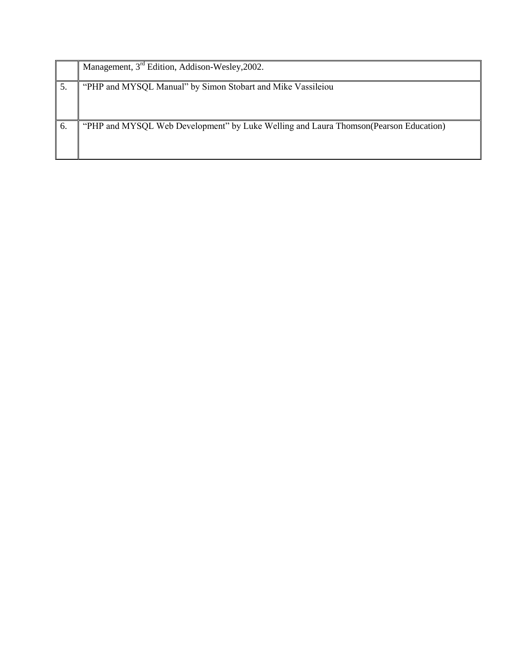|    | Management, 3 <sup>rd</sup> Edition, Addison-Wesley, 2002.                            |
|----|---------------------------------------------------------------------------------------|
|    | "PHP and MYSQL Manual" by Simon Stobart and Mike Vassileiou                           |
| 6. | "PHP and MYSQL Web Development" by Luke Welling and Laura Thomson (Pearson Education) |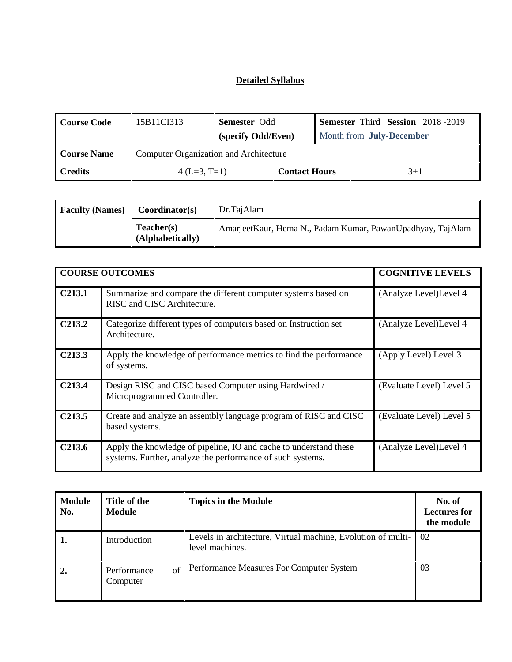| Course Code                     | 15B11CI313                                    | <b>Semester Odd</b> |                      |  | <b>Semester Third Session 2018-2019</b> |
|---------------------------------|-----------------------------------------------|---------------------|----------------------|--|-----------------------------------------|
|                                 |                                               | (specify Odd/Even)  |                      |  | Month from July-December                |
| <b>Course Name</b>              | <b>Computer Organization and Architecture</b> |                     |                      |  |                                         |
| <b>Credits</b><br>$4(L=3, T=1)$ |                                               |                     | <b>Contact Hours</b> |  | $3+1$                                   |

| <b>Faculty (Names)</b> | Coordinator(s)                        | Dr.TajAlam                                                 |
|------------------------|---------------------------------------|------------------------------------------------------------|
|                        | <b>Teacher(s)</b><br>(Alphabetically) | AmarjeetKaur, Hema N., Padam Kumar, PawanUpadhyay, TajAlam |

|                     | <b>COURSE OUTCOMES</b>                                                                                                          | <b>COGNITIVE LEVELS</b>  |
|---------------------|---------------------------------------------------------------------------------------------------------------------------------|--------------------------|
| C <sub>213.1</sub>  | Summarize and compare the different computer systems based on<br>RISC and CISC Architecture.                                    | (Analyze Level) Level 4  |
| C <sub>2</sub> 13.2 | Categorize different types of computers based on Instruction set<br>Architecture.                                               | (Analyze Level) Level 4  |
| C <sub>2</sub> 13.3 | Apply the knowledge of performance metrics to find the performance<br>of systems.                                               | (Apply Level) Level 3    |
| C <sub>213.4</sub>  | Design RISC and CISC based Computer using Hardwired /<br>Microprogrammed Controller.                                            | (Evaluate Level) Level 5 |
| C <sub>213.5</sub>  | Create and analyze an assembly language program of RISC and CISC<br>based systems.                                              | (Evaluate Level) Level 5 |
| C <sub>213.6</sub>  | Apply the knowledge of pipeline, IO and cache to understand these<br>systems. Further, analyze the performance of such systems. | (Analyze Level) Level 4  |

| <b>Module</b><br>No. | Title of the<br><b>Topics in the Module</b><br><b>Module</b> |                                                                                 | No. of<br><b>Lectures for</b><br>the module |
|----------------------|--------------------------------------------------------------|---------------------------------------------------------------------------------|---------------------------------------------|
|                      | Introduction                                                 | Levels in architecture, Virtual machine, Evolution of multi-<br>level machines. | 02                                          |
| 2.                   | of<br>Performance<br>Computer                                | Performance Measures For Computer System                                        | 03                                          |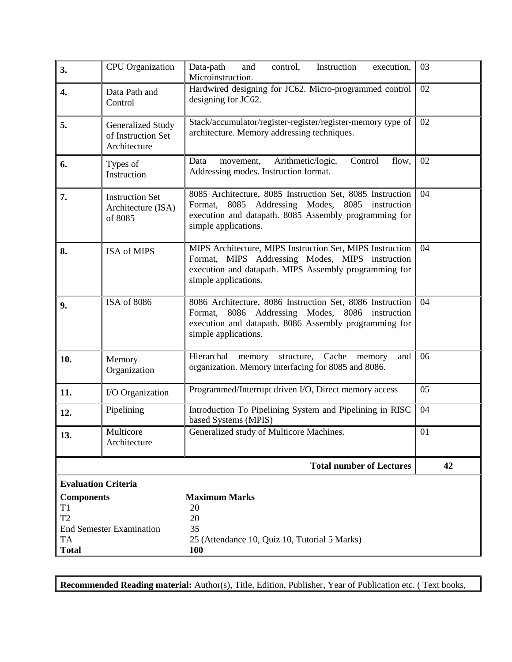| 3.                      | <b>CPU</b> Organization                                 | Data-path<br>Instruction<br>and<br>control,<br>execution,<br>Microinstruction.                                                                                                                      | 03 |  |  |
|-------------------------|---------------------------------------------------------|-----------------------------------------------------------------------------------------------------------------------------------------------------------------------------------------------------|----|--|--|
| 4.                      | Data Path and<br>Control                                | Hardwired designing for JC62. Micro-programmed control<br>designing for JC62.                                                                                                                       | 02 |  |  |
| 5.                      | Generalized Study<br>of Instruction Set<br>Architecture | Stack/accumulator/register-register/register-memory type of<br>architecture. Memory addressing techniques.                                                                                          | 02 |  |  |
| 6.                      | Types of<br>Instruction                                 | Control<br>02<br>Data<br>Arithmetic/logic,<br>flow,<br>movement,<br>Addressing modes. Instruction format.                                                                                           |    |  |  |
| 7.                      | <b>Instruction Set</b><br>Architecture (ISA)<br>of 8085 | 8085 Architecture, 8085 Instruction Set, 8085 Instruction<br>8085 Addressing Modes, 8085 instruction<br>Format,<br>execution and datapath. 8085 Assembly programming for<br>simple applications.    | 04 |  |  |
| 8.                      | ISA of MIPS                                             | MIPS Architecture, MIPS Instruction Set, MIPS Instruction<br>04<br>Format, MIPS Addressing Modes, MIPS instruction<br>execution and datapath. MIPS Assembly programming for<br>simple applications. |    |  |  |
| 9.                      | ISA of 8086                                             | 8086 Architecture, 8086 Instruction Set, 8086 Instruction<br>04<br>Format, 8086 Addressing Modes, 8086 instruction<br>execution and datapath. 8086 Assembly programming for<br>simple applications. |    |  |  |
| 10.                     | Memory<br>Organization                                  | Hierarchal<br>structure, Cache<br>06<br>memory<br>memory<br>and<br>organization. Memory interfacing for 8085 and 8086.                                                                              |    |  |  |
| 11.                     | I/O Organization                                        | Programmed/Interrupt driven I/O, Direct memory access                                                                                                                                               | 05 |  |  |
| 12.                     | Pipelining                                              | Introduction To Pipelining System and Pipelining in RISC<br>04<br>based Systems (MPIS)                                                                                                              |    |  |  |
| 13.                     | Multicore<br>Architecture                               | Generalized study of Multicore Machines.                                                                                                                                                            | 01 |  |  |
|                         |                                                         | <b>Total number of Lectures</b>                                                                                                                                                                     | 42 |  |  |
|                         | <b>Evaluation Criteria</b>                              |                                                                                                                                                                                                     |    |  |  |
| <b>Components</b><br>T1 |                                                         | <b>Maximum Marks</b><br>20                                                                                                                                                                          |    |  |  |
| T2                      |                                                         | 20                                                                                                                                                                                                  |    |  |  |
| TA                      | <b>End Semester Examination</b>                         | 35<br>25 (Attendance 10, Quiz 10, Tutorial 5 Marks)                                                                                                                                                 |    |  |  |
| <b>Total</b>            |                                                         | <b>100</b>                                                                                                                                                                                          |    |  |  |

**Recommended Reading material:** Author(s), Title, Edition, Publisher, Year of Publication etc. ( Text books,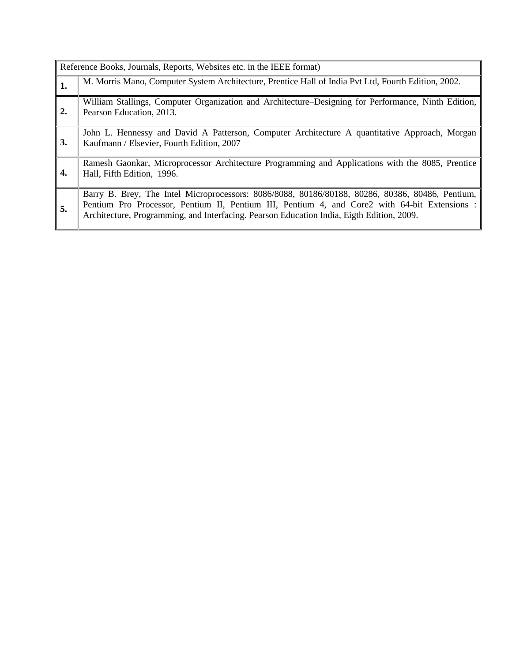|    | Reference Books, Journals, Reports, Websites etc. in the IEEE format)                                                                                                                                                                                                                        |  |  |
|----|----------------------------------------------------------------------------------------------------------------------------------------------------------------------------------------------------------------------------------------------------------------------------------------------|--|--|
| 1. | M. Morris Mano, Computer System Architecture, Prentice Hall of India Pvt Ltd, Fourth Edition, 2002.                                                                                                                                                                                          |  |  |
| 2. | William Stallings, Computer Organization and Architecture–Designing for Performance, Ninth Edition,<br>Pearson Education, 2013.                                                                                                                                                              |  |  |
| 3. | John L. Hennessy and David A Patterson, Computer Architecture A quantitative Approach, Morgan<br>Kaufmann / Elsevier, Fourth Edition, 2007                                                                                                                                                   |  |  |
| 4. | Ramesh Gaonkar, Microprocessor Architecture Programming and Applications with the 8085, Prentice<br>Hall, Fifth Edition, 1996.                                                                                                                                                               |  |  |
| 5. | Barry B. Brey, The Intel Microprocessors: 8086/8088, 80186/80188, 80286, 80386, 80486, Pentium,<br>Pentium Pro Processor, Pentium II, Pentium III, Pentium 4, and Core2 with 64-bit Extensions:<br>Architecture, Programming, and Interfacing. Pearson Education India, Eigth Edition, 2009. |  |  |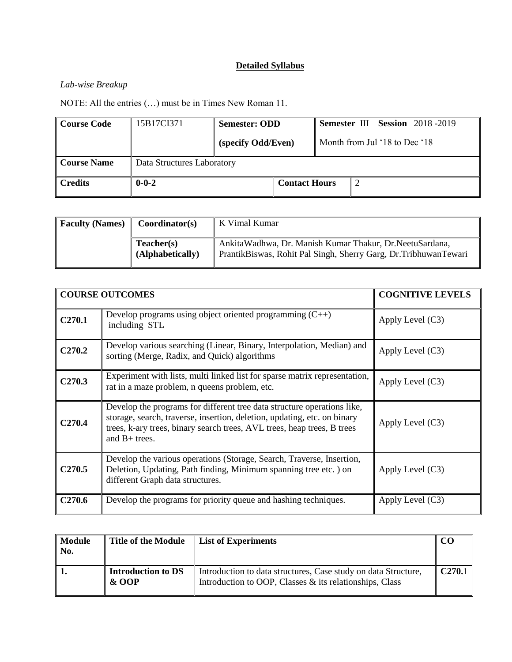### *Lab-wise Breakup*

NOTE: All the entries (…) must be in Times New Roman 11.

| <b>Course Code</b>                               | 15B17CI371  | <b>Semester: ODD</b> |                      |                               | <b>Semester III Session</b> 2018-2019 |  |
|--------------------------------------------------|-------------|----------------------|----------------------|-------------------------------|---------------------------------------|--|
|                                                  |             | (specify Odd/Even)   |                      | Month from Jul '18 to Dec '18 |                                       |  |
| <b>Course Name</b><br>Data Structures Laboratory |             |                      |                      |                               |                                       |  |
| <b>Credits</b>                                   | $0 - 0 - 2$ |                      | <b>Contact Hours</b> |                               |                                       |  |

| <b>Faculty (Names)</b> | Coordinator(s)                 | K Vimal Kumar                                                                                                                   |
|------------------------|--------------------------------|---------------------------------------------------------------------------------------------------------------------------------|
|                        | Teacher(s)<br>(Alphabetically) | Ankita Wadhwa, Dr. Manish Kumar Thakur, Dr. Neetu Sardana,<br>PrantikBiswas, Rohit Pal Singh, Sherry Garg, Dr. Tribhuwan Tewari |

|                    | <b>COURSE OUTCOMES</b>                                                                                                                                                                                                                            | <b>COGNITIVE LEVELS</b> |
|--------------------|---------------------------------------------------------------------------------------------------------------------------------------------------------------------------------------------------------------------------------------------------|-------------------------|
| C270.1             | Develop programs using object oriented programming $(C++)$<br>including STL                                                                                                                                                                       | Apply Level $(C3)$      |
| C <sub>270.2</sub> | Develop various searching (Linear, Binary, Interpolation, Median) and<br>sorting (Merge, Radix, and Quick) algorithms                                                                                                                             | Apply Level $(C3)$      |
| C <sub>270.3</sub> | Experiment with lists, multi linked list for sparse matrix representation,<br>rat in a maze problem, n queens problem, etc.                                                                                                                       | Apply Level $(C3)$      |
| C <sub>270.4</sub> | Develop the programs for different tree data structure operations like,<br>storage, search, traverse, insertion, deletion, updating, etc. on binary<br>trees, k-ary trees, binary search trees, AVL trees, heap trees, B trees<br>and $B+$ trees. | Apply Level $(C3)$      |
| C <sub>270.5</sub> | Develop the various operations (Storage, Search, Traverse, Insertion,<br>Deletion, Updating, Path finding, Minimum spanning tree etc.) on<br>different Graph data structures.                                                                     | Apply Level $(C3)$      |
| C <sub>270.6</sub> | Develop the programs for priority queue and hashing techniques.                                                                                                                                                                                   | Apply Level $(C3)$      |

| <b>Module</b><br>No. | Title of the Module                  | List of Experiments                                                                                                       | CO                 |
|----------------------|--------------------------------------|---------------------------------------------------------------------------------------------------------------------------|--------------------|
|                      | <b>Introduction to DS</b><br>$&$ OOP | Introduction to data structures, Case study on data Structure,<br>Introduction to OOP, Classes & its relationships, Class | C <sub>270.1</sub> |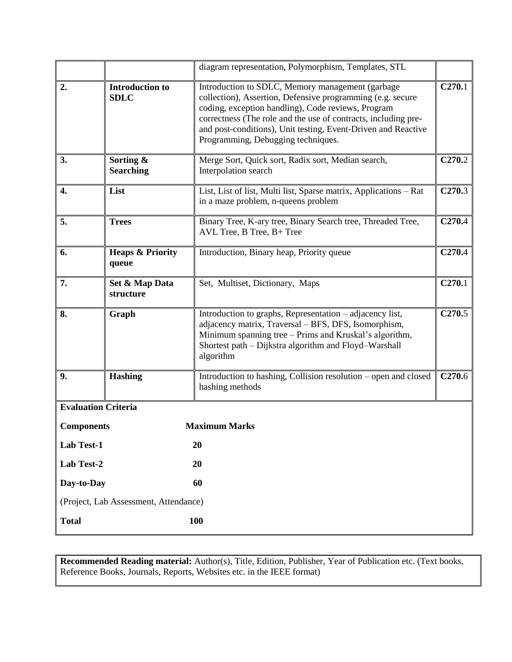|                            |                                                                                                                                                                                                                                                           | diagram representation, Polymorphism, Templates, STL                                                                                                                                                                                                                                                                                          |                            |
|----------------------------|-----------------------------------------------------------------------------------------------------------------------------------------------------------------------------------------------------------------------------------------------------------|-----------------------------------------------------------------------------------------------------------------------------------------------------------------------------------------------------------------------------------------------------------------------------------------------------------------------------------------------|----------------------------|
| 2.                         | <b>Introduction to</b><br><b>SDLC</b>                                                                                                                                                                                                                     | Introduction to SDLC, Memory management (garbage<br>collection), Assertion, Defensive programming (e.g. secure<br>coding, exception handling), Code reviews, Program<br>correctness (The role and the use of contracts, including pre-<br>and post-conditions), Unit testing, Event-Driven and Reactive<br>Programming, Debugging techniques. | $\overline{\text{C}270.1}$ |
| 3.                         | Sorting &<br><b>Searching</b>                                                                                                                                                                                                                             | Merge Sort, Quick sort, Radix sort, Median search,<br>Interpolation search                                                                                                                                                                                                                                                                    | C <sub>270.2</sub>         |
| 4.                         | List                                                                                                                                                                                                                                                      | List, List of list, Multi list, Sparse matrix, Applications - Rat<br>in a maze problem, n-queens problem                                                                                                                                                                                                                                      |                            |
| 5.                         | <b>Trees</b>                                                                                                                                                                                                                                              | Binary Tree, K-ary tree, Binary Search tree, Threaded Tree,<br>AVL Tree, B Tree, B+ Tree                                                                                                                                                                                                                                                      | C <sub>270.4</sub>         |
| 6.                         | <b>Heaps &amp; Priority</b><br>queue                                                                                                                                                                                                                      | Introduction, Binary heap, Priority queue                                                                                                                                                                                                                                                                                                     |                            |
| 7.                         | Set & Map Data<br>structure                                                                                                                                                                                                                               | Set, Multiset, Dictionary, Maps                                                                                                                                                                                                                                                                                                               | C270.1                     |
| 8.                         | Introduction to graphs, Representation - adjacency list,<br>Graph<br>adjacency matrix, Traversal - BFS, DFS, Isomorphism,<br>Minimum spanning tree – Prims and Kruskal's algorithm,<br>Shortest path - Dijkstra algorithm and Floyd-Warshall<br>algorithm |                                                                                                                                                                                                                                                                                                                                               | C270.5                     |
| 9.                         | <b>Hashing</b>                                                                                                                                                                                                                                            | C <sub>270.6</sub><br>Introduction to hashing, Collision resolution – open and closed<br>hashing methods                                                                                                                                                                                                                                      |                            |
| <b>Evaluation Criteria</b> |                                                                                                                                                                                                                                                           |                                                                                                                                                                                                                                                                                                                                               |                            |
| <b>Components</b>          |                                                                                                                                                                                                                                                           | <b>Maximum Marks</b>                                                                                                                                                                                                                                                                                                                          |                            |
| Lab Test-1                 |                                                                                                                                                                                                                                                           | 20                                                                                                                                                                                                                                                                                                                                            |                            |
| Lab Test-2                 |                                                                                                                                                                                                                                                           | 20                                                                                                                                                                                                                                                                                                                                            |                            |
| Day-to-Day                 |                                                                                                                                                                                                                                                           | 60                                                                                                                                                                                                                                                                                                                                            |                            |
|                            | (Project, Lab Assessment, Attendance)                                                                                                                                                                                                                     |                                                                                                                                                                                                                                                                                                                                               |                            |
| <b>Total</b>               |                                                                                                                                                                                                                                                           | 100                                                                                                                                                                                                                                                                                                                                           |                            |

**Recommended Reading material:** Author(s), Title, Edition, Publisher, Year of Publication etc. (Text books, Reference Books, Journals, Reports, Websites etc. in the IEEE format)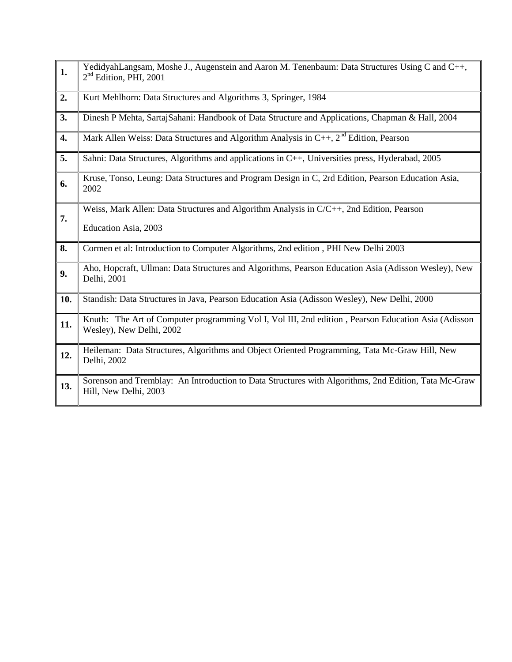| $\mathbf{1}$ . | YedidyahLangsam, Moshe J., Augenstein and Aaron M. Tenenbaum: Data Structures Using C and C++,<br>2 <sup>nd</sup> Edition, PHI, 2001 |
|----------------|--------------------------------------------------------------------------------------------------------------------------------------|
| 2.             | Kurt Mehlhorn: Data Structures and Algorithms 3, Springer, 1984                                                                      |
| 3.             | Dinesh P Mehta, SartajSahani: Handbook of Data Structure and Applications, Chapman & Hall, 2004                                      |
| 4.             | Mark Allen Weiss: Data Structures and Algorithm Analysis in $C_{++}$ , $2^{nd}$ Edition, Pearson                                     |
| 5.             | Sahni: Data Structures, Algorithms and applications in C++, Universities press, Hyderabad, 2005                                      |
| 6.             | Kruse, Tonso, Leung: Data Structures and Program Design in C, 2rd Edition, Pearson Education Asia,<br>2002                           |
| 7.             | Weiss, Mark Allen: Data Structures and Algorithm Analysis in C/C++, 2nd Edition, Pearson<br>Education Asia, 2003                     |
| 8.             | Cormen et al: Introduction to Computer Algorithms, 2nd edition, PHI New Delhi 2003                                                   |
| 9.             | Aho, Hopcraft, Ullman: Data Structures and Algorithms, Pearson Education Asia (Adisson Wesley), New<br>Delhi, 2001                   |
| 10.            | Standish: Data Structures in Java, Pearson Education Asia (Adisson Wesley), New Delhi, 2000                                          |
| 11.            | Knuth: The Art of Computer programming Vol I, Vol III, 2nd edition, Pearson Education Asia (Adisson<br>Wesley), New Delhi, 2002      |
| 12.            | Heileman: Data Structures, Algorithms and Object Oriented Programming, Tata Mc-Graw Hill, New<br>Delhi, 2002                         |
| 13.            | Sorenson and Tremblay: An Introduction to Data Structures with Algorithms, 2nd Edition, Tata Mc-Graw<br>Hill, New Delhi, 2003        |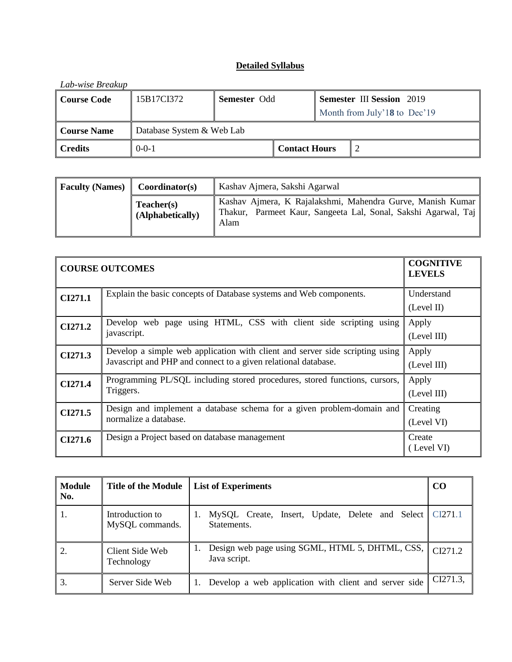| Lab-wise Breakup              |                           |                     |                      |  |                                  |
|-------------------------------|---------------------------|---------------------|----------------------|--|----------------------------------|
| <b>Course Code</b>            | 15B17CI372                | <b>Semester Odd</b> |                      |  | <b>Semester III Session</b> 2019 |
|                               |                           |                     |                      |  | Month from July'18 to Dec'19     |
| <b>Course Name</b>            | Database System & Web Lab |                     |                      |  |                                  |
| $0 - 0 - 1$<br><b>Credits</b> |                           |                     | <b>Contact Hours</b> |  |                                  |

| <b>Faculty (Names)</b> | Coordinator(s)                 | Kashav Ajmera, Sakshi Agarwal                                                                                                        |
|------------------------|--------------------------------|--------------------------------------------------------------------------------------------------------------------------------------|
|                        | Teacher(s)<br>(Alphabetically) | Kashav Ajmera, K Rajalakshmi, Mahendra Gurve, Manish Kumar<br>Thakur, Parmeet Kaur, Sangeeta Lal, Sonal, Sakshi Agarwal, Taj<br>Alam |

|                | <b>COURSE OUTCOMES</b>                                                                                                                         | <b>COGNITIVE</b><br><b>LEVELS</b> |
|----------------|------------------------------------------------------------------------------------------------------------------------------------------------|-----------------------------------|
| CI271.1        | Explain the basic concepts of Database systems and Web components.                                                                             | Understand<br>(Level II)          |
| CI271.2        | Develop web page using HTML, CSS with client side scripting using<br>javascript.                                                               | Apply<br>(Level III)              |
| CI271.3        | Develop a simple web application with client and server side scripting using<br>Javascript and PHP and connect to a given relational database. | Apply<br>(Level III)              |
| <b>CI271.4</b> | Programming PL/SQL including stored procedures, stored functions, cursors,<br>Triggers.                                                        | Apply<br>(Level III)              |
| CI271.5        | Design and implement a database schema for a given problem-domain and<br>normalize a database.                                                 | Creating<br>(Level VI)            |
| CI271.6        | Design a Project based on database management                                                                                                  | Create<br>(Level VI)              |

| <b>Module</b><br>No. | <b>Title of the Module</b>         | <b>List of Experiments</b>                                              | <b>CO</b> |
|----------------------|------------------------------------|-------------------------------------------------------------------------|-----------|
| -1.                  | Introduction to<br>MySQL commands. | MySQL Create, Insert, Update, Delete and Select CI271.1<br>Statements.  |           |
|                      | Client Side Web<br>Technology      | Design web page using SGML, HTML 5, DHTML, CSS, CI271.2<br>Java script. |           |
| 3.                   | Server Side Web                    | 1. Develop a web application with client and server side                | CI271.3.  |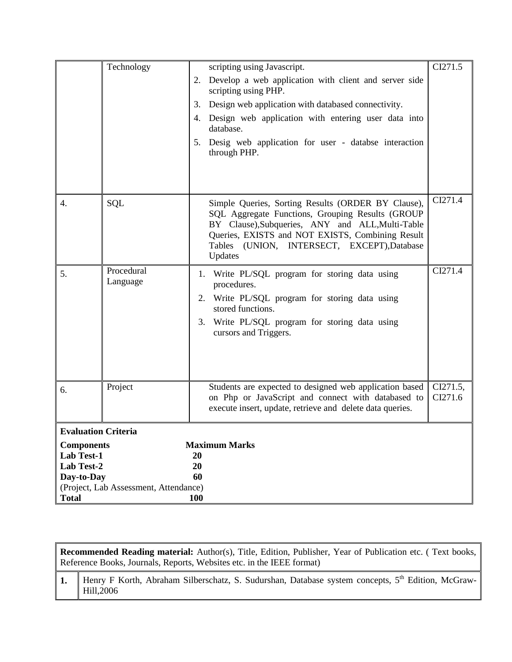|                                                                                                                                                           | Technology             | scripting using Javascript.<br>Develop a web application with client and server side<br>2.<br>scripting using PHP.<br>Design web application with databased connectivity.<br>3.<br>Design web application with entering user data into<br>4.<br>database.<br>Desig web application for user - databse interaction<br>5.<br>through PHP. | CI271.5<br>CI271.4  |
|-----------------------------------------------------------------------------------------------------------------------------------------------------------|------------------------|-----------------------------------------------------------------------------------------------------------------------------------------------------------------------------------------------------------------------------------------------------------------------------------------------------------------------------------------|---------------------|
| 4.                                                                                                                                                        | SQL                    | Simple Queries, Sorting Results (ORDER BY Clause),<br>SQL Aggregate Functions, Grouping Results (GROUP<br>BY Clause), Subqueries, ANY and ALL, Multi-Table<br>Queries, EXISTS and NOT EXISTS, Combining Result<br>Tables (UNION, INTERSECT, EXCEPT), Database<br>Updates                                                                |                     |
| 5.                                                                                                                                                        | Procedural<br>Language | Write PL/SQL program for storing data using<br>1.<br>procedures.<br>2. Write PL/SQL program for storing data using<br>stored functions.<br>Write PL/SQL program for storing data using<br>3.<br>cursors and Triggers.                                                                                                                   | CI271.4             |
| 6.                                                                                                                                                        | Project                | Students are expected to designed web application based<br>on Php or JavaScript and connect with databased to<br>execute insert, update, retrieve and delete data queries.                                                                                                                                                              | CI271.5,<br>CI271.6 |
| <b>Evaluation Criteria</b><br><b>Components</b><br><b>Lab Test-1</b><br>Lab Test-2<br>Day-to-Day<br>(Project, Lab Assessment, Attendance)<br><b>Total</b> |                        | <b>Maximum Marks</b><br>20<br>20<br>60<br><b>100</b>                                                                                                                                                                                                                                                                                    |                     |

**Recommended Reading material:** Author(s), Title, Edition, Publisher, Year of Publication etc. ( Text books, Reference Books, Journals, Reports, Websites etc. in the IEEE format)

1. Henry F Korth, Abraham Silberschatz, S. Sudurshan, Database system concepts, 5<sup>th</sup> Edition, McGraw-Hill,2006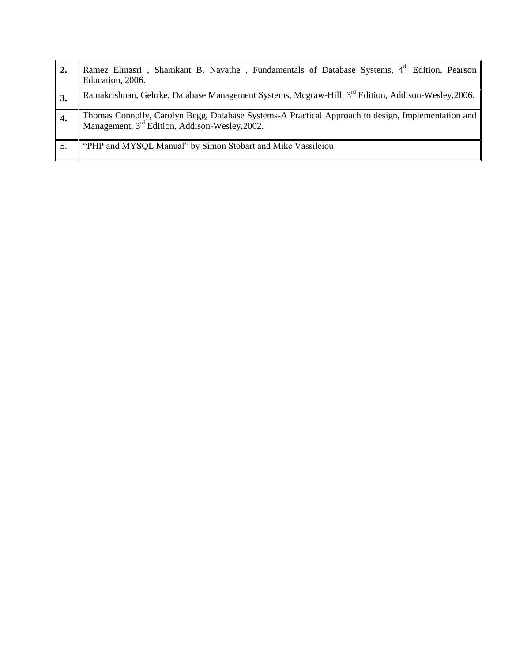| $\overline{2}$ . | Ramez Elmasri, Shamkant B. Navathe, Fundamentals of Database Systems, 4 <sup>th</sup> Edition, Pearson<br>Education, 2006.                                         |
|------------------|--------------------------------------------------------------------------------------------------------------------------------------------------------------------|
| 3.               | Ramakrishnan, Gehrke, Database Management Systems, Mcgraw-Hill, 3rd Edition, Addison-Wesley, 2006.                                                                 |
|                  | Thomas Connolly, Carolyn Begg, Database Systems-A Practical Approach to design, Implementation and  <br>Management, 3 <sup>rd</sup> Edition, Addison-Wesley, 2002. |
|                  | "PHP and MYSQL Manual" by Simon Stobart and Mike Vassileiou                                                                                                        |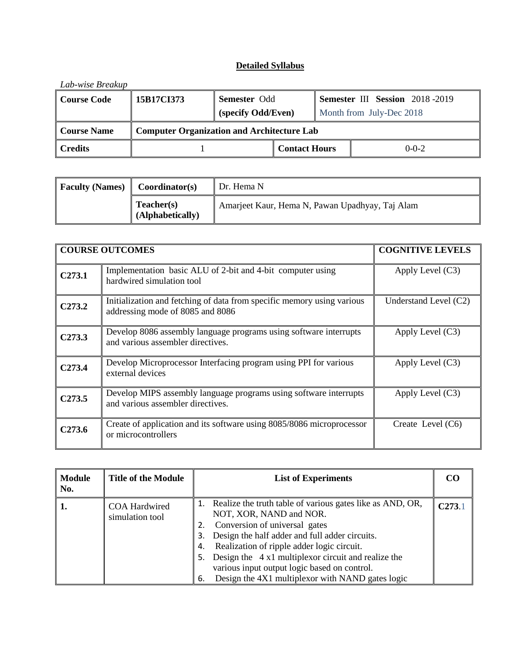| Lab-wise Breakup   |                                                   |                     |                      |  |                                       |
|--------------------|---------------------------------------------------|---------------------|----------------------|--|---------------------------------------|
| <b>Course Code</b> | 15B17CI373                                        | <b>Semester Odd</b> |                      |  | <b>Semester III Session</b> 2018-2019 |
|                    |                                                   | (specify Odd/Even)  |                      |  | Month from July-Dec 2018              |
| <b>Course Name</b> | <b>Computer Organization and Architecture Lab</b> |                     |                      |  |                                       |
| <b>Credits</b>     |                                                   |                     | <b>Contact Hours</b> |  | $0 - 0 - 2$                           |

| <b>Faculty (Names)</b><br>Coordinator(s) |                                | ∥ Dr. Hema N                                    |  |
|------------------------------------------|--------------------------------|-------------------------------------------------|--|
|                                          | Teacher(s)<br>(Alphabetically) | Amarjeet Kaur, Hema N, Pawan Upadhyay, Taj Alam |  |

|                    | <b>COURSE OUTCOMES</b>                                                                                     | <b>COGNITIVE LEVELS</b> |
|--------------------|------------------------------------------------------------------------------------------------------------|-------------------------|
| C <sub>273.1</sub> | Implementation basic ALU of 2-bit and 4-bit computer using<br>hardwired simulation tool                    | Apply Level $(C3)$      |
| C <sub>273.2</sub> | Initialization and fetching of data from specific memory using various<br>addressing mode of 8085 and 8086 | Understand Level (C2)   |
| C <sub>273.3</sub> | Develop 8086 assembly language programs using software interrupts<br>and various assembler directives.     | Apply Level (C3)        |
| C <sub>273.4</sub> | Develop Microprocessor Interfacing program using PPI for various<br>external devices                       | Apply Level (C3)        |
| C <sub>273.5</sub> | Develop MIPS assembly language programs using software interrupts<br>and various assembler directives.     | Apply Level $(C3)$      |
| C <sub>273.6</sub> | Create of application and its software using 8085/8086 microprocessor<br>or microcontrollers               | Create Level $(C6)$     |

| <b>Module</b><br>No. | <b>Title of the Module</b>              | <b>List of Experiments</b>                                                                                                                                                                                                                                                                                                                                                                                 | CO     |
|----------------------|-----------------------------------------|------------------------------------------------------------------------------------------------------------------------------------------------------------------------------------------------------------------------------------------------------------------------------------------------------------------------------------------------------------------------------------------------------------|--------|
|                      | <b>COA Hardwired</b><br>simulation tool | Realize the truth table of various gates like as AND, OR,<br>NOT, XOR, NAND and NOR.<br>Conversion of universal gates<br>Design the half adder and full adder circuits.<br>3.<br>Realization of ripple adder logic circuit.<br>4.<br>Design the 4 x1 multiplex or circuit and realize the<br>5.<br>various input output logic based on control.<br>Design the 4X1 multiplex or with NAND gates logic<br>6. | C273.1 |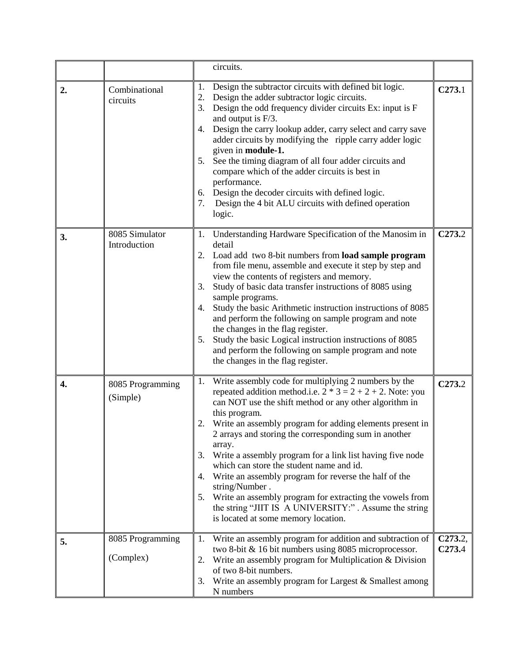|    |                                | circuits.                                                                                                                                                                                                                                                                                                                                                                                                                                                                                                                                                                                                                                                                                                     |                               |
|----|--------------------------------|---------------------------------------------------------------------------------------------------------------------------------------------------------------------------------------------------------------------------------------------------------------------------------------------------------------------------------------------------------------------------------------------------------------------------------------------------------------------------------------------------------------------------------------------------------------------------------------------------------------------------------------------------------------------------------------------------------------|-------------------------------|
| 2. | Combinational<br>circuits      | Design the subtractor circuits with defined bit logic.<br>1.<br>Design the adder subtractor logic circuits.<br>2.<br>Design the odd frequency divider circuits Ex: input is F<br>3.<br>and output is F/3.<br>Design the carry lookup adder, carry select and carry save<br>4.<br>adder circuits by modifying the ripple carry adder logic<br>given in module-1.<br>See the timing diagram of all four adder circuits and<br>5.<br>compare which of the adder circuits is best in<br>performance.<br>Design the decoder circuits with defined logic.<br>6.<br>7.<br>Design the 4 bit ALU circuits with defined operation<br>logic.                                                                             | C273.1                        |
| 3. | 8085 Simulator<br>Introduction | Understanding Hardware Specification of the Manosim in<br>1.<br>detail<br>Load add two 8-bit numbers from load sample program<br>2.<br>from file menu, assemble and execute it step by step and<br>view the contents of registers and memory.<br>Study of basic data transfer instructions of 8085 using<br>3.<br>sample programs.<br>Study the basic Arithmetic instruction instructions of 8085<br>4.<br>and perform the following on sample program and note<br>the changes in the flag register.<br>Study the basic Logical instruction instructions of 8085<br>5.<br>and perform the following on sample program and note<br>the changes in the flag register.                                           | C <sub>273.2</sub>            |
| 4. | 8085 Programming<br>(Simple)   | Write assembly code for multiplying 2 numbers by the<br>1.<br>repeated addition method.i.e. $2 * 3 = 2 + 2 + 2$ . Note: you<br>can NOT use the shift method or any other algorithm in<br>this program.<br>2.<br>Write an assembly program for adding elements present in<br>2 arrays and storing the corresponding sum in another<br>array.<br>Write a assembly program for a link list having five node<br>3.<br>which can store the student name and id.<br>Write an assembly program for reverse the half of the<br>4.<br>string/Number.<br>Write an assembly program for extracting the vowels from<br>5.<br>the string "JIIT IS A UNIVERSITY:". Assume the string<br>is located at some memory location. | C <sub>273.2</sub>            |
| 5. | 8085 Programming<br>(Complex)  | Write an assembly program for addition and subtraction of<br>1.<br>two 8-bit & 16 bit numbers using 8085 microprocessor.<br>Write an assembly program for Multiplication & Division<br>2.<br>of two 8-bit numbers.<br>Write an assembly program for Largest & Smallest among<br>3.<br>N numbers                                                                                                                                                                                                                                                                                                                                                                                                               | C273.2,<br>C <sub>273.4</sub> |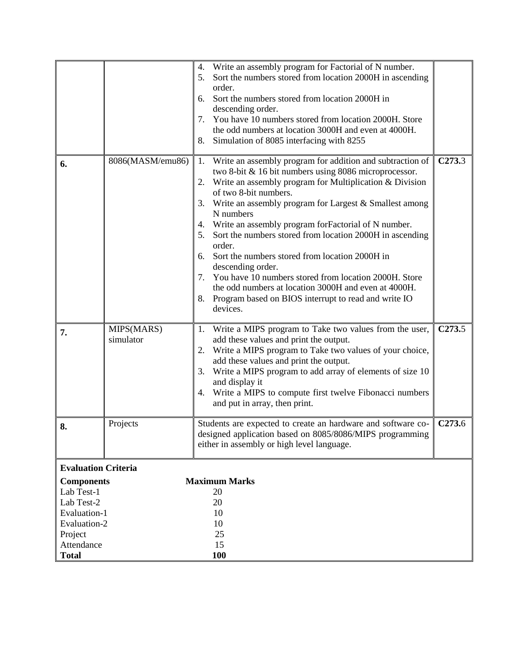|                                                                                                                        |                         | Write an assembly program for Factorial of N number.<br>4.<br>Sort the numbers stored from location 2000H in ascending<br>5.<br>order.<br>Sort the numbers stored from location 2000H in<br>6.<br>descending order.<br>You have 10 numbers stored from location 2000H. Store<br>7.<br>the odd numbers at location 3000H and even at 4000H.<br>8.<br>Simulation of 8085 interfacing with 8255                                                                                                                                                                                                                                                                                                                            |                    |
|------------------------------------------------------------------------------------------------------------------------|-------------------------|-------------------------------------------------------------------------------------------------------------------------------------------------------------------------------------------------------------------------------------------------------------------------------------------------------------------------------------------------------------------------------------------------------------------------------------------------------------------------------------------------------------------------------------------------------------------------------------------------------------------------------------------------------------------------------------------------------------------------|--------------------|
| 6.                                                                                                                     | 8086(MASM/emu86)        | Write an assembly program for addition and subtraction of<br>1.<br>two 8-bit & 16 bit numbers using 8086 microprocessor.<br>Write an assembly program for Multiplication & Division<br>2.<br>of two 8-bit numbers.<br>Write an assembly program for Largest & Smallest among<br>3.<br>N numbers<br>Write an assembly program for Factorial of N number.<br>4.<br>5.<br>Sort the numbers stored from location 2000H in ascending<br>order.<br>Sort the numbers stored from location 2000H in<br>6.<br>descending order.<br>You have 10 numbers stored from location 2000H. Store<br>7.<br>the odd numbers at location 3000H and even at 4000H.<br>8.<br>Program based on BIOS interrupt to read and write IO<br>devices. | C <sub>273.3</sub> |
| 7.                                                                                                                     | MIPS(MARS)<br>simulator | Write a MIPS program to Take two values from the user,<br>1.<br>add these values and print the output.<br>Write a MIPS program to Take two values of your choice,<br>2.<br>add these values and print the output.<br>Write a MIPS program to add array of elements of size 10<br>3.<br>and display it<br>Write a MIPS to compute first twelve Fibonacci numbers<br>4.<br>and put in array, then print.                                                                                                                                                                                                                                                                                                                  | C <sub>273.5</sub> |
| 8.                                                                                                                     | Projects                | Students are expected to create an hardware and software co-<br>designed application based on 8085/8086/MIPS programming<br>either in assembly or high level language.                                                                                                                                                                                                                                                                                                                                                                                                                                                                                                                                                  | C <sub>273.6</sub> |
| <b>Evaluation Criteria</b>                                                                                             |                         |                                                                                                                                                                                                                                                                                                                                                                                                                                                                                                                                                                                                                                                                                                                         |                    |
| <b>Components</b><br>Lab Test-1<br>Lab Test-2<br>Evaluation-1<br>Evaluation-2<br>Project<br>Attendance<br><b>Total</b> |                         | <b>Maximum Marks</b><br>20<br>20<br>10<br>10<br>25<br>15<br><b>100</b>                                                                                                                                                                                                                                                                                                                                                                                                                                                                                                                                                                                                                                                  |                    |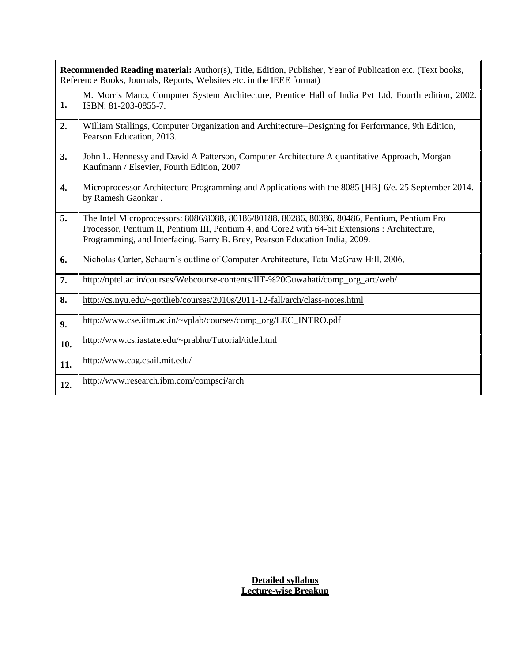|     | <b>Recommended Reading material:</b> Author(s), Title, Edition, Publisher, Year of Publication etc. (Text books,<br>Reference Books, Journals, Reports, Websites etc. in the IEEE format)                                                                                      |
|-----|--------------------------------------------------------------------------------------------------------------------------------------------------------------------------------------------------------------------------------------------------------------------------------|
| 1.  | M. Morris Mano, Computer System Architecture, Prentice Hall of India Pvt Ltd, Fourth edition, 2002.<br>ISBN: 81-203-0855-7.                                                                                                                                                    |
| 2.  | William Stallings, Computer Organization and Architecture–Designing for Performance, 9th Edition,<br>Pearson Education, 2013.                                                                                                                                                  |
| 3.  | John L. Hennessy and David A Patterson, Computer Architecture A quantitative Approach, Morgan<br>Kaufmann / Elsevier, Fourth Edition, 2007                                                                                                                                     |
| 4.  | Microprocessor Architecture Programming and Applications with the 8085 [HB]-6/e. 25 September 2014.<br>by Ramesh Gaonkar.                                                                                                                                                      |
| 5.  | The Intel Microprocessors: 8086/8088, 80186/80188, 80286, 80386, 80486, Pentium, Pentium Pro<br>Processor, Pentium II, Pentium III, Pentium 4, and Core2 with 64-bit Extensions : Architecture,<br>Programming, and Interfacing. Barry B. Brey, Pearson Education India, 2009. |
| 6.  | Nicholas Carter, Schaum's outline of Computer Architecture, Tata McGraw Hill, 2006,                                                                                                                                                                                            |
| 7.  | http://nptel.ac.in/courses/Webcourse-contents/IIT-%20Guwahati/comp_org_arc/web/                                                                                                                                                                                                |
| 8.  | http://cs.nyu.edu/~gottlieb/courses/2010s/2011-12-fall/arch/class-notes.html                                                                                                                                                                                                   |
| 9.  | http://www.cse.iitm.ac.in/~vplab/courses/comp_org/LEC_INTRO.pdf                                                                                                                                                                                                                |
| 10. | http://www.cs.iastate.edu/~prabhu/Tutorial/title.html                                                                                                                                                                                                                          |
| 11. | http://www.cag.csail.mit.edu/                                                                                                                                                                                                                                                  |
| 12. | http://www.research.ibm.com/compsci/arch                                                                                                                                                                                                                                       |

**Detailed syllabus Lecture-wise Breakup**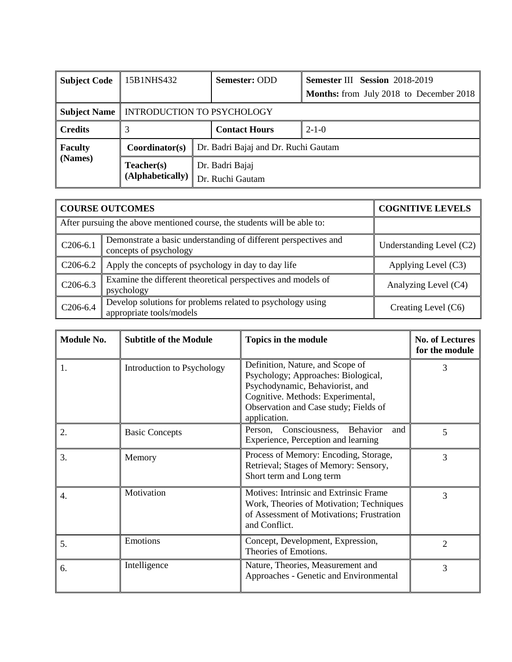| <b>Subject Code</b> | 15B1NHS432                           |  | <b>Semester: ODD</b>                 | <b>Semester III Session 2018-2019</b><br><b>Months:</b> from July 2018 to December 2018 |  |
|---------------------|--------------------------------------|--|--------------------------------------|-----------------------------------------------------------------------------------------|--|
|                     |                                      |  |                                      |                                                                                         |  |
| <b>Subject Name</b> | INTRODUCTION TO PSYCHOLOGY           |  |                                      |                                                                                         |  |
| <b>Credits</b>      |                                      |  | <b>Contact Hours</b>                 | $2 - 1 - 0$                                                                             |  |
| <b>Faculty</b>      | Coordinator(s)                       |  | Dr. Badri Bajaj and Dr. Ruchi Gautam |                                                                                         |  |
| (Names)             | Teacher(s)<br>$(A$ lphabetically $)$ |  | Dr. Badri Bajaj<br>Dr. Ruchi Gautam  |                                                                                         |  |

|            | <b>COURSE OUTCOMES</b>                                                                    | <b>COGNITIVE LEVELS</b>  |
|------------|-------------------------------------------------------------------------------------------|--------------------------|
|            | After pursuing the above mentioned course, the students will be able to:                  |                          |
| $C206-6.1$ | Demonstrate a basic understanding of different perspectives and<br>concepts of psychology | Understanding Level (C2) |
| $C206-6.2$ | Apply the concepts of psychology in day to day life                                       | Applying Level (C3)      |
| $C206-6.3$ | Examine the different theoretical perspectives and models of<br>psychology                | Analyzing Level (C4)     |
| $C206-6.4$ | Develop solutions for problems related to psychology using<br>appropriate tools/models    | Creating Level (C6)      |

| Module No. | <b>Subtitle of the Module</b> | Topics in the module                                                                                                                                                                                     | <b>No. of Lectures</b><br>for the module |
|------------|-------------------------------|----------------------------------------------------------------------------------------------------------------------------------------------------------------------------------------------------------|------------------------------------------|
| 1.         | Introduction to Psychology    | Definition, Nature, and Scope of<br>Psychology; Approaches: Biological,<br>Psychodynamic, Behaviorist, and<br>Cognitive. Methods: Experimental,<br>Observation and Case study; Fields of<br>application. | 3                                        |
| 2.         | <b>Basic Concepts</b>         | Person, Consciousness, Behavior<br>and<br>Experience, Perception and learning                                                                                                                            | 5                                        |
| 3.         | Memory                        | Process of Memory: Encoding, Storage,<br>Retrieval; Stages of Memory: Sensory,<br>Short term and Long term                                                                                               | 3                                        |
| 4.         | Motivation                    | Motives: Intrinsic and Extrinsic Frame<br>Work, Theories of Motivation; Techniques<br>of Assessment of Motivations; Frustration<br>and Conflict.                                                         | 3                                        |
| 5.         | Emotions                      | Concept, Development, Expression,<br>Theories of Emotions.                                                                                                                                               | $\mathfrak{D}$                           |
| 6.         | Intelligence                  | Nature, Theories, Measurement and<br>Approaches - Genetic and Environmental                                                                                                                              | 3                                        |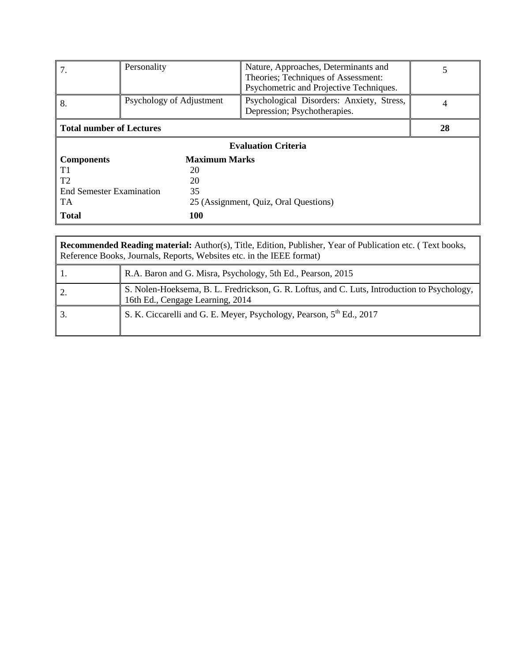| 7.                                           | Personality                | Nature, Approaches, Determinants and<br>Theories; Techniques of Assessment:<br>Psychometric and Projective Techniques. | 5 |  |  |  |
|----------------------------------------------|----------------------------|------------------------------------------------------------------------------------------------------------------------|---|--|--|--|
| 8.                                           | Psychology of Adjustment   | Psychological Disorders: Anxiety, Stress,<br>Depression; Psychotherapies.                                              | 4 |  |  |  |
| <b>Total number of Lectures</b>              | 28                         |                                                                                                                        |   |  |  |  |
|                                              | <b>Evaluation Criteria</b> |                                                                                                                        |   |  |  |  |
| <b>Components</b>                            | <b>Maximum Marks</b>       |                                                                                                                        |   |  |  |  |
| T1                                           | 20                         |                                                                                                                        |   |  |  |  |
| T <sub>2</sub><br>20                         |                            |                                                                                                                        |   |  |  |  |
| 35<br><b>End Semester Examination</b>        |                            |                                                                                                                        |   |  |  |  |
| TA.<br>25 (Assignment, Quiz, Oral Questions) |                            |                                                                                                                        |   |  |  |  |
| <b>Total</b>                                 |                            |                                                                                                                        |   |  |  |  |

| <b>Recommended Reading material:</b> Author(s), Title, Edition, Publisher, Year of Publication etc. (Text books,<br>Reference Books, Journals, Reports, Websites etc. in the IEEE format) |                                                                                                                                  |  |  |  |
|-------------------------------------------------------------------------------------------------------------------------------------------------------------------------------------------|----------------------------------------------------------------------------------------------------------------------------------|--|--|--|
|                                                                                                                                                                                           | R.A. Baron and G. Misra, Psychology, 5th Ed., Pearson, 2015                                                                      |  |  |  |
|                                                                                                                                                                                           | S. Nolen-Hoeksema, B. L. Fredrickson, G. R. Loftus, and C. Luts, Introduction to Psychology,<br>16th Ed., Cengage Learning, 2014 |  |  |  |
|                                                                                                                                                                                           | S. K. Ciccarelli and G. E. Meyer, Psychology, Pearson, 5 <sup>th</sup> Ed., 2017                                                 |  |  |  |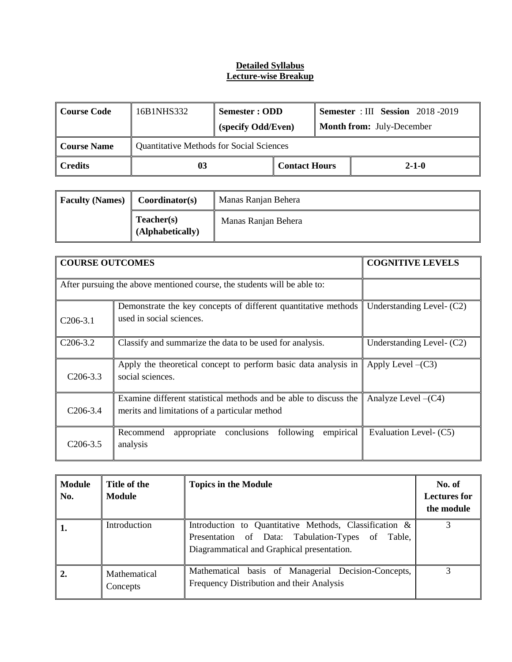#### **Detailed Syllabus Lecture-wise Breakup**

| Course Code            | 16B1NHS332                                      | Semester : ODD<br>(specify Odd/Even) |                      |  | <b>Semester</b> : III Session 2018 -2019<br><b>Month from:</b> July-December |
|------------------------|-------------------------------------------------|--------------------------------------|----------------------|--|------------------------------------------------------------------------------|
| <b>Course Name</b>     | <b>Quantitative Methods for Social Sciences</b> |                                      |                      |  |                                                                              |
| $\blacksquare$ Credits | 03                                              |                                      | <b>Contact Hours</b> |  | $2 - 1 - 0$                                                                  |

| <b>Faculty (Names)</b> | Coordinator(s)                 | Manas Ranjan Behera |
|------------------------|--------------------------------|---------------------|
|                        | Teacher(s)<br>(Alphabetically) | Manas Ranjan Behera |

| <b>COURSE OUTCOMES</b> |                                                                                                                   | <b>COGNITIVE LEVELS</b>   |
|------------------------|-------------------------------------------------------------------------------------------------------------------|---------------------------|
|                        | After pursuing the above mentioned course, the students will be able to:                                          |                           |
| $C206-3.1$             | Demonstrate the key concepts of different quantitative methods<br>used in social sciences.                        | Understanding Level- (C2) |
| $C206-3.2$             | Classify and summarize the data to be used for analysis.                                                          | Understanding Level- (C2) |
| $C206-3.3$             | Apply the theoretical concept to perform basic data analysis in<br>social sciences.                               | Apply Level $-(C3)$       |
| $C206-3.4$             | Examine different statistical methods and be able to discuss the<br>merits and limitations of a particular method | Analyze Level $-(C4)$     |
| $C206-3.5$             | empirical<br>conclusions<br>following<br>Recommend<br>appropriate<br>analysis                                     | Evaluation Level- (C5)    |

| <b>Module</b><br>No. | Title of the<br>Module   | <b>Topics in the Module</b>                                                                                                                              | No. of<br><b>Lectures for</b><br>the module |
|----------------------|--------------------------|----------------------------------------------------------------------------------------------------------------------------------------------------------|---------------------------------------------|
| 1.                   | Introduction             | Introduction to Quantitative Methods, Classification &<br>Presentation of Data: Tabulation-Types of Table,<br>Diagrammatical and Graphical presentation. |                                             |
| 2.                   | Mathematical<br>Concepts | Mathematical basis of Managerial Decision-Concepts,<br>Frequency Distribution and their Analysis                                                         |                                             |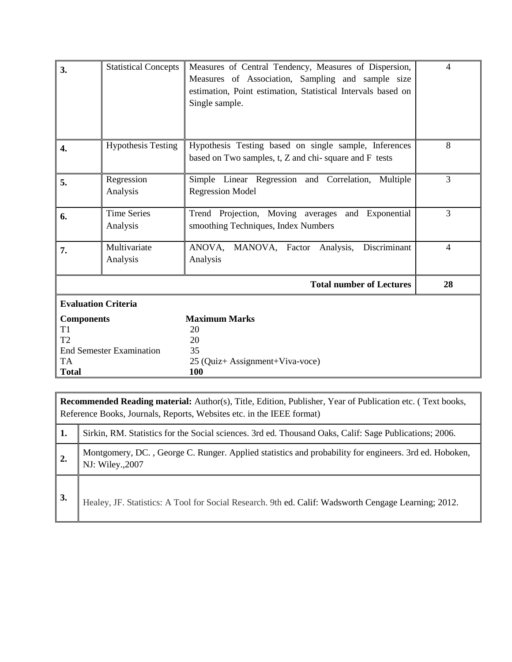| 3.                                                                 | <b>Statistical Concepts</b>     | Measures of Central Tendency, Measures of Dispersion,<br>Measures of Association, Sampling and sample size<br>estimation, Point estimation, Statistical Intervals based on<br>Single sample. | 4              |
|--------------------------------------------------------------------|---------------------------------|----------------------------------------------------------------------------------------------------------------------------------------------------------------------------------------------|----------------|
|                                                                    |                                 |                                                                                                                                                                                              |                |
| 4.                                                                 | <b>Hypothesis Testing</b>       | Hypothesis Testing based on single sample, Inferences<br>based on Two samples, t, Z and chi-square and F tests                                                                               | 8              |
| 5.                                                                 | Regression<br>Analysis          | Simple Linear Regression and Correlation, Multiple<br><b>Regression Model</b>                                                                                                                | 3              |
| 6.                                                                 | <b>Time Series</b><br>Analysis  | Trend Projection, Moving averages and Exponential<br>smoothing Techniques, Index Numbers                                                                                                     | $\overline{3}$ |
| 7.                                                                 | Multivariate<br>Analysis        | ANOVA,<br>MANOVA, Factor Analysis,<br>Discriminant<br>Analysis                                                                                                                               | $\overline{4}$ |
|                                                                    |                                 | <b>Total number of Lectures</b>                                                                                                                                                              | 28             |
|                                                                    | <b>Evaluation Criteria</b>      |                                                                                                                                                                                              |                |
| <b>Components</b><br>T <sub>1</sub><br>T <sub>2</sub><br><b>TA</b> | <b>End Semester Examination</b> | <b>Maximum Marks</b><br>20<br>20<br>35                                                                                                                                                       |                |
| <b>Total</b>                                                       |                                 | 25 (Quiz+ Assignment+Viva-voce)<br>100                                                                                                                                                       |                |

**Recommended Reading material:** Author(s), Title, Edition, Publisher, Year of Publication etc. ( Text books, Reference Books, Journals, Reports, Websites etc. in the IEEE format) **1.** Sirkin, RM. Statistics for the Social sciences. 3rd ed. Thousand Oaks, Calif: Sage Publications; 2006. 2. Montgomery, DC., George C. Runger. Applied statistics and probability for engineers. 3rd ed. Hoboken, NJ: Wiley.,2007

**3.** Healey, JF. Statistics: A Tool for Social Research. 9th ed. Calif: Wadsworth Cengage Learning; 2012.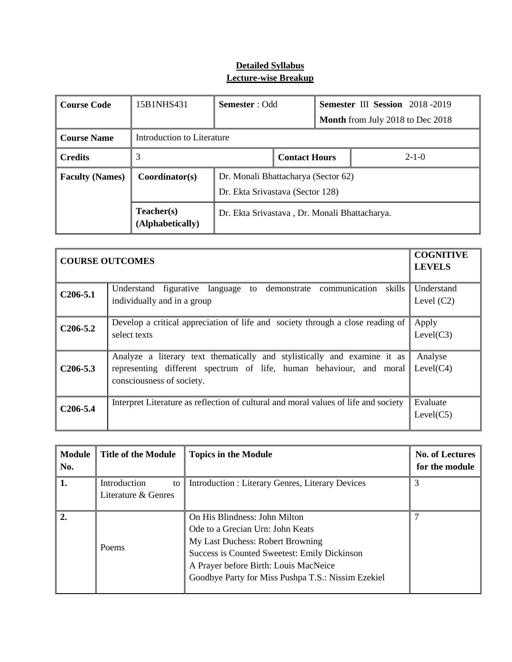## **Detailed Syllabus Lecture-wise Breakup**

| <b>Course Code</b>     | 15B1NHS431                               | <b>Semester</b> : Odd                                                   |  |                                         | Semester III Session 2018-2019 |  |
|------------------------|------------------------------------------|-------------------------------------------------------------------------|--|-----------------------------------------|--------------------------------|--|
|                        |                                          |                                                                         |  | <b>Month</b> from July 2018 to Dec 2018 |                                |  |
| <b>Course Name</b>     | Introduction to Literature               |                                                                         |  |                                         |                                |  |
| <b>Credits</b>         | 3<br><b>Contact Hours</b><br>$2 - 1 - 0$ |                                                                         |  |                                         |                                |  |
| <b>Faculty (Names)</b> | Coordinator(s)                           | Dr. Monali Bhattacharya (Sector 62)<br>Dr. Ekta Srivastava (Sector 128) |  |                                         |                                |  |
|                        | Teacher(s)<br>(Alphabetically)           | Dr. Ekta Srivastava, Dr. Monali Bhattacharya.                           |  |                                         |                                |  |

| <b>COURSE OUTCOMES</b> | <b>COGNITIVE</b><br><b>LEVELS</b>                                                                                                                                            |                            |
|------------------------|------------------------------------------------------------------------------------------------------------------------------------------------------------------------------|----------------------------|
| $C206-5.1$             | Understand figurative language to demonstrate communication skills<br>individually and in a group                                                                            | Understand<br>Level $(C2)$ |
| $C206 - 5.2$           | Develop a critical appreciation of life and society through a close reading of<br>select texts                                                                               | Apply<br>Level(C3)         |
| $C206-5.3$             | Analyze a literary text thematically and stylistically and examine it as<br>representing different spectrum of life, human behaviour, and moral<br>consciousness of society. | Analyse<br>Level(C4)       |
| $C206 - 5.4$           | Interpret Literature as reflection of cultural and moral values of life and society                                                                                          | Evaluate<br>Level(C5)      |

| <b>Module</b><br>No. | <b>Title of the Module</b>                | <b>Topics in the Module</b>                                                                                                                                                                                                                          | <b>No. of Lectures</b><br>for the module |
|----------------------|-------------------------------------------|------------------------------------------------------------------------------------------------------------------------------------------------------------------------------------------------------------------------------------------------------|------------------------------------------|
| 1.                   | Introduction<br>to<br>Literature & Genres | <b>Introduction: Literary Genres, Literary Devices</b>                                                                                                                                                                                               | 3                                        |
| 2.                   | Poems                                     | On His Blindness: John Milton<br>Ode to a Grecian Urn: John Keats<br>My Last Duchess: Robert Browning<br>Success is Counted Sweetest: Emily Dickinson<br>A Prayer before Birth: Louis MacNeice<br>Goodbye Party for Miss Pushpa T.S.: Nissim Ezekiel |                                          |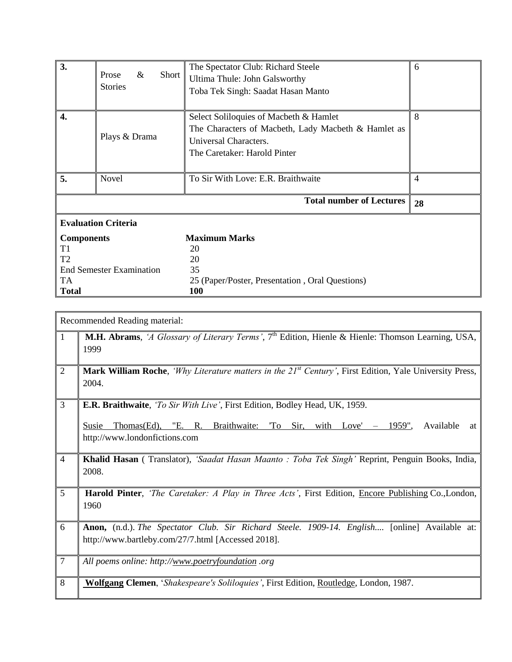| 3.                              |                            |       | The Spectator Club: Richard Steele                  | 6              |  |  |
|---------------------------------|----------------------------|-------|-----------------------------------------------------|----------------|--|--|
|                                 | $\&$<br>Prose              | Short | Ultima Thule: John Galsworthy                       |                |  |  |
|                                 | <b>Stories</b>             |       | Toba Tek Singh: Saadat Hasan Manto                  |                |  |  |
|                                 |                            |       |                                                     |                |  |  |
| 4.                              |                            |       | Select Soliloquies of Macbeth & Hamlet              | 8              |  |  |
|                                 |                            |       | The Characters of Macbeth, Lady Macbeth & Hamlet as |                |  |  |
|                                 | Plays & Drama              |       | Universal Characters.                               |                |  |  |
|                                 |                            |       |                                                     |                |  |  |
|                                 |                            |       | The Caretaker: Harold Pinter                        |                |  |  |
| 5.                              | Novel                      |       | To Sir With Love: E.R. Braithwaite                  | $\overline{4}$ |  |  |
|                                 |                            |       |                                                     |                |  |  |
|                                 |                            |       | <b>Total number of Lectures</b>                     | 28             |  |  |
|                                 | <b>Evaluation Criteria</b> |       |                                                     |                |  |  |
| <b>Components</b>               |                            |       | <b>Maximum Marks</b>                                |                |  |  |
| T <sub>1</sub>                  |                            |       | 20                                                  |                |  |  |
| T <sub>2</sub>                  |                            |       | 20                                                  |                |  |  |
| <b>End Semester Examination</b> |                            |       | 35                                                  |                |  |  |
| TA                              |                            |       | 25 (Paper/Poster, Presentation, Oral Questions)     |                |  |  |
| <b>Total</b>                    |                            |       | <b>100</b>                                          |                |  |  |

|                | Recommended Reading material:                                                                                                                       |
|----------------|-----------------------------------------------------------------------------------------------------------------------------------------------------|
| 1              | M.H. Abrams, 'A Glossary of Literary Terms', 7 <sup>th</sup> Edition, Hienle & Hienle: Thomson Learning, USA,<br>1999                               |
| $\overline{2}$ | Mark William Roche, 'Why Literature matters in the 21 <sup>st</sup> Century', First Edition, Yale University Press,<br>2004.                        |
| 3              | E.R. Braithwaite, 'To Sir With Live', First Edition, Bodley Head, UK, 1959.                                                                         |
|                | Thomas (Ed), "E. R. Braithwaite: "To Sir, with Love"<br>1959",<br>Available<br>Susie<br>at<br>http://www.londonfictions.com                         |
| $\overline{4}$ | Khalid Hasan (Translator), 'Saadat Hasan Maanto : Toba Tek Singh' Reprint, Penguin Books, India,<br>2008.                                           |
| 5              | <b>Harold Pinter,</b> 'The Caretaker: A Play in Three Acts', First Edition, <i>Encore Publishing Co., London</i> ,<br>1960                          |
| 6              | Anon, (n.d.). The Spectator Club. Sir Richard Steele. 1909-14. English [online] Available at:<br>http://www.bartleby.com/27/7.html [Accessed 2018]. |
| $\overline{7}$ | All poems online: http://www.poetryfoundation.org                                                                                                   |
| 8              | <b>Wolfgang Clemen</b> , 'Shakespeare's Soliloquies', First Edition, Routledge, London, 1987.                                                       |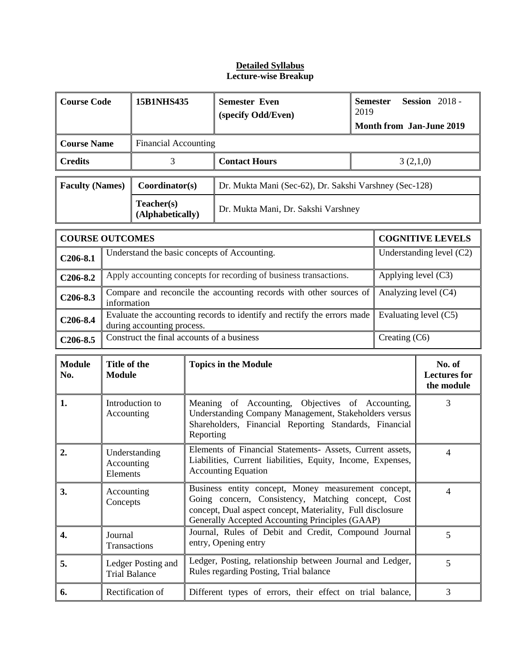#### **Detailed Syllabus Lecture-wise Breakup**

| <b>Course Code</b>     |                                                                                                                                                                                                      | 15B1NHS435                                                                                                |                                                                          | <b>Semester Even</b><br>(specify Odd/Even)                              | <b>Semester</b><br>2019 |                                             | <b>Session</b> 2018 -<br><b>Month from Jan-June 2019</b> |  |
|------------------------|------------------------------------------------------------------------------------------------------------------------------------------------------------------------------------------------------|-----------------------------------------------------------------------------------------------------------|--------------------------------------------------------------------------|-------------------------------------------------------------------------|-------------------------|---------------------------------------------|----------------------------------------------------------|--|
| <b>Course Name</b>     |                                                                                                                                                                                                      | <b>Financial Accounting</b>                                                                               |                                                                          |                                                                         |                         |                                             |                                                          |  |
| <b>Credits</b>         |                                                                                                                                                                                                      | 3                                                                                                         |                                                                          | <b>Contact Hours</b><br>3(2,1,0)                                        |                         |                                             |                                                          |  |
| <b>Faculty (Names)</b> |                                                                                                                                                                                                      |                                                                                                           | Coordinator(s)<br>Dr. Mukta Mani (Sec-62), Dr. Sakshi Varshney (Sec-128) |                                                                         |                         |                                             |                                                          |  |
|                        |                                                                                                                                                                                                      | Teacher(s)<br>(Alphabetically)                                                                            |                                                                          | Dr. Mukta Mani, Dr. Sakshi Varshney                                     |                         |                                             |                                                          |  |
| <b>COURSE OUTCOMES</b> |                                                                                                                                                                                                      |                                                                                                           |                                                                          |                                                                         | <b>COGNITIVE LEVELS</b> |                                             |                                                          |  |
| $C206-8.1$             |                                                                                                                                                                                                      | Understanding level (C2)<br>Understand the basic concepts of Accounting.                                  |                                                                          |                                                                         |                         |                                             |                                                          |  |
| $C206-8.2$             |                                                                                                                                                                                                      |                                                                                                           |                                                                          | Apply accounting concepts for recording of business transactions.       |                         | Applying level (C3)                         |                                                          |  |
| $C206-8.3$             |                                                                                                                                                                                                      | Compare and reconcile the accounting records with other sources of<br>Analyzing level (C4)<br>information |                                                                          |                                                                         |                         |                                             |                                                          |  |
| C <sub>206</sub> -8.4  |                                                                                                                                                                                                      | during accounting process.                                                                                |                                                                          | Evaluate the accounting records to identify and rectify the errors made |                         | Evaluating level (C5)                       |                                                          |  |
| $C206-8.5$             |                                                                                                                                                                                                      | Construct the final accounts of a business<br>Creating (C6)                                               |                                                                          |                                                                         |                         |                                             |                                                          |  |
| <b>Module</b><br>No.   | Title of the<br><b>Topics in the Module</b><br><b>Module</b>                                                                                                                                         |                                                                                                           |                                                                          |                                                                         |                         | No. of<br><b>Lectures</b> for<br>the module |                                                          |  |
| 1.                     | Introduction to<br>Meaning of Accounting, Objectives of Accounting,<br>Understanding Company Management, Stakeholders versus<br>Accounting<br>Shareholders, Financial Reporting Standards, Financial |                                                                                                           |                                                                          |                                                                         | 3                       |                                             |                                                          |  |

| 1. | Introduction to<br>Accounting              | Meaning of Accounting, Objectives of Accounting,<br>Understanding Company Management, Stakeholders versus<br>Shareholders, Financial Reporting Standards, Financial<br>Reporting                                           |  |
|----|--------------------------------------------|----------------------------------------------------------------------------------------------------------------------------------------------------------------------------------------------------------------------------|--|
|    | Understanding<br>Accounting<br>Elements    | Elements of Financial Statements- Assets, Current assets,<br>Liabilities, Current liabilities, Equity, Income, Expenses,<br><b>Accounting Equation</b>                                                                     |  |
| 3. | Accounting<br>Concepts                     | Business entity concept, Money measurement concept,<br>Going concern, Consistency, Matching concept, Cost<br>concept, Dual aspect concept, Materiality, Full disclosure<br>Generally Accepted Accounting Principles (GAAP) |  |
| 4. | Journal<br>Transactions                    | Journal, Rules of Debit and Credit, Compound Journal<br>entry, Opening entry                                                                                                                                               |  |
| 5. | Ledger Posting and<br><b>Trial Balance</b> | Ledger, Posting, relationship between Journal and Ledger,<br>Rules regarding Posting, Trial balance                                                                                                                        |  |
| 6. | Rectification of                           | Different types of errors, their effect on trial balance,                                                                                                                                                                  |  |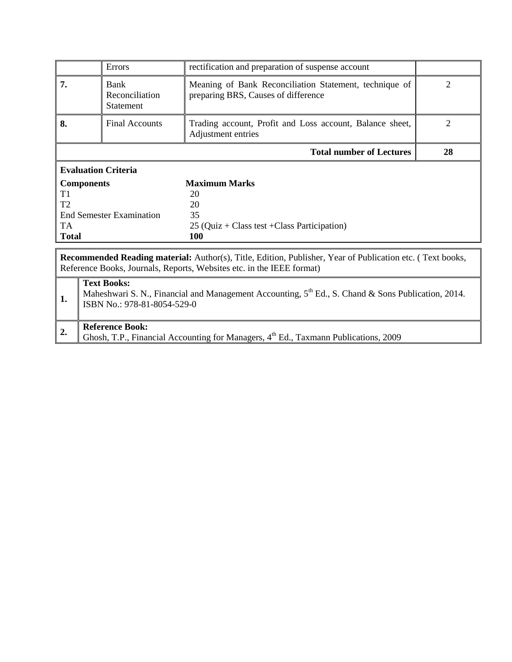|                            | Errors                                                                                                           | rectification and preparation of suspense account                                             |                             |  |  |  |
|----------------------------|------------------------------------------------------------------------------------------------------------------|-----------------------------------------------------------------------------------------------|-----------------------------|--|--|--|
| 7.                         | Bank<br>Reconciliation<br><b>Statement</b>                                                                       | Meaning of Bank Reconciliation Statement, technique of<br>preparing BRS, Causes of difference | $\mathcal{D}_{\mathcal{L}}$ |  |  |  |
| 8.                         | <b>Final Accounts</b>                                                                                            | Trading account, Profit and Loss account, Balance sheet,<br>Adjustment entries                | 2                           |  |  |  |
|                            |                                                                                                                  | <b>Total number of Lectures</b>                                                               | 28                          |  |  |  |
| <b>Evaluation Criteria</b> |                                                                                                                  |                                                                                               |                             |  |  |  |
| <b>Components</b>          |                                                                                                                  | <b>Maximum Marks</b>                                                                          |                             |  |  |  |
| T1                         |                                                                                                                  | 20                                                                                            |                             |  |  |  |
| T <sub>2</sub>             |                                                                                                                  | 20                                                                                            |                             |  |  |  |
|                            | End Semester Examination                                                                                         | 35                                                                                            |                             |  |  |  |
| TA.                        |                                                                                                                  | $25$ (Quiz + Class test + Class Participation)                                                |                             |  |  |  |
| <b>Total</b>               |                                                                                                                  | 100                                                                                           |                             |  |  |  |
|                            | <b>Recommended Reading material:</b> Author(s), Title, Edition, Publisher, Year of Publication etc. (Text books, |                                                                                               |                             |  |  |  |
|                            |                                                                                                                  | Reference Books, Journals, Reports, Websites etc. in the IEEE format)                         |                             |  |  |  |
|                            |                                                                                                                  |                                                                                               |                             |  |  |  |

| <b>Text Books:</b><br>Maheshwari S. N., Financial and Management Accounting, 5 <sup>th</sup> Ed., S. Chand & Sons Publication, 2014.<br>ISBN No.: 978-81-8054-529-0 |
|---------------------------------------------------------------------------------------------------------------------------------------------------------------------|
| <b>Reference Book:</b><br>Ghosh, T.P., Financial Accounting for Managers, 4 <sup>th</sup> Ed., Taxmann Publications, 2009                                           |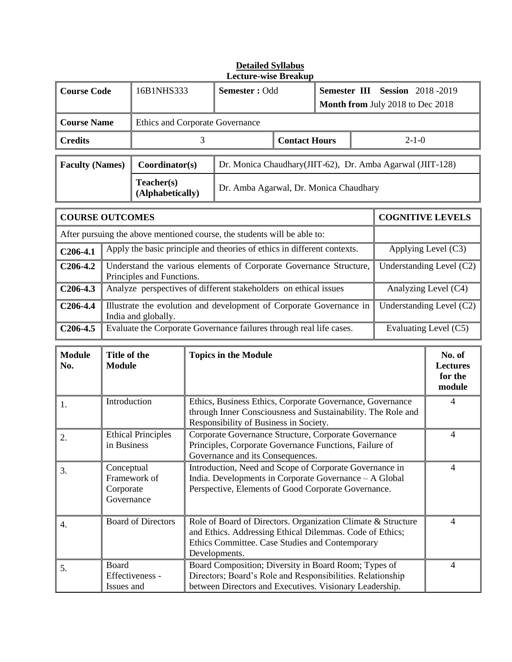|                        |                                                                                                                                                                                                                                                     |                                                                                                                        |               | <b>Lecture-wise Breakup</b>                                                                                                                                                                  |                      |  |                                                                           |                         |                                                |
|------------------------|-----------------------------------------------------------------------------------------------------------------------------------------------------------------------------------------------------------------------------------------------------|------------------------------------------------------------------------------------------------------------------------|---------------|----------------------------------------------------------------------------------------------------------------------------------------------------------------------------------------------|----------------------|--|---------------------------------------------------------------------------|-------------------------|------------------------------------------------|
| <b>Course Code</b>     |                                                                                                                                                                                                                                                     | 16B1NHS333                                                                                                             | Semester: Odd |                                                                                                                                                                                              |                      |  | <b>Semester III Session 2018-2019</b><br>Month from July 2018 to Dec 2018 |                         |                                                |
| <b>Course Name</b>     |                                                                                                                                                                                                                                                     | Ethics and Corporate Governance                                                                                        |               |                                                                                                                                                                                              |                      |  |                                                                           |                         |                                                |
| <b>Credits</b>         |                                                                                                                                                                                                                                                     |                                                                                                                        | 3             |                                                                                                                                                                                              | <b>Contact Hours</b> |  |                                                                           | $2 - 1 - 0$             |                                                |
| <b>Faculty (Names)</b> |                                                                                                                                                                                                                                                     | Coordinator(s)                                                                                                         |               | Dr. Monica Chaudhary(JIIT-62), Dr. Amba Agarwal (JIIT-128)                                                                                                                                   |                      |  |                                                                           |                         |                                                |
|                        |                                                                                                                                                                                                                                                     | Teacher(s)<br>(Alphabetically)                                                                                         |               | Dr. Amba Agarwal, Dr. Monica Chaudhary                                                                                                                                                       |                      |  |                                                                           |                         |                                                |
| <b>COURSE OUTCOMES</b> |                                                                                                                                                                                                                                                     |                                                                                                                        |               |                                                                                                                                                                                              |                      |  |                                                                           | <b>COGNITIVE LEVELS</b> |                                                |
|                        |                                                                                                                                                                                                                                                     |                                                                                                                        |               | After pursuing the above mentioned course, the students will be able to:                                                                                                                     |                      |  |                                                                           |                         |                                                |
| $C206-4.1$             |                                                                                                                                                                                                                                                     |                                                                                                                        |               | Apply the basic principle and theories of ethics in different contexts.                                                                                                                      |                      |  |                                                                           |                         | Applying Level (C3)                            |
| $C206-4.2$             |                                                                                                                                                                                                                                                     | Principles and Functions.                                                                                              |               | Understand the various elements of Corporate Governance Structure,                                                                                                                           |                      |  |                                                                           |                         | Understanding Level (C2)                       |
| $C206-4.3$             |                                                                                                                                                                                                                                                     |                                                                                                                        |               | Analyze perspectives of different stakeholders on ethical issues                                                                                                                             |                      |  |                                                                           |                         | Analyzing Level (C4)                           |
| C <sub>206</sub> -4.4  |                                                                                                                                                                                                                                                     | Illustrate the evolution and development of Corporate Governance in<br>Understanding Level (C2)<br>India and globally. |               |                                                                                                                                                                                              |                      |  |                                                                           |                         |                                                |
| $C206-4.5$             | Evaluate the Corporate Governance failures through real life cases.<br>Evaluating Level (C5)                                                                                                                                                        |                                                                                                                        |               |                                                                                                                                                                                              |                      |  |                                                                           |                         |                                                |
| <b>Module</b><br>No.   | Title of the<br><b>Module</b>                                                                                                                                                                                                                       |                                                                                                                        |               | <b>Topics in the Module</b>                                                                                                                                                                  |                      |  |                                                                           |                         | No. of<br><b>Lectures</b><br>for the<br>module |
| 1.                     | Introduction                                                                                                                                                                                                                                        |                                                                                                                        |               | Ethics, Business Ethics, Corporate Governance, Governance<br>through Inner Consciousness and Sustainability. The Role and<br>Responsibility of Business in Society.                          |                      |  |                                                                           | $\overline{4}$          |                                                |
| 2.                     | Corporate Governance Structure, Corporate Governance<br><b>Ethical Principles</b><br>Principles, Corporate Governance Functions, Failure of<br>in Business<br>Governance and its Consequences.                                                      |                                                                                                                        |               |                                                                                                                                                                                              | $\overline{4}$       |  |                                                                           |                         |                                                |
| 3.                     | Conceptual<br>Introduction, Need and Scope of Corporate Governance in<br>$\overline{4}$<br>India. Developments in Corporate Governance - A Global<br>Framework of<br>Perspective, Elements of Good Corporate Governance.<br>Corporate<br>Governance |                                                                                                                        |               |                                                                                                                                                                                              |                      |  |                                                                           |                         |                                                |
| 4.                     | <b>Board of Directors</b>                                                                                                                                                                                                                           |                                                                                                                        |               | Role of Board of Directors. Organization Climate & Structure<br>and Ethics. Addressing Ethical Dilemmas. Code of Ethics;<br>Ethics Committee. Case Studies and Contemporary<br>Developments. |                      |  | $\overline{4}$                                                            |                         |                                                |
| 5.                     | Board<br>Issues and                                                                                                                                                                                                                                 | Effectiveness -                                                                                                        |               | Board Composition; Diversity in Board Room; Types of<br>Directors; Board's Role and Responsibilities. Relationship<br>between Directors and Executives. Visionary Leadership.                |                      |  |                                                                           |                         | 4                                              |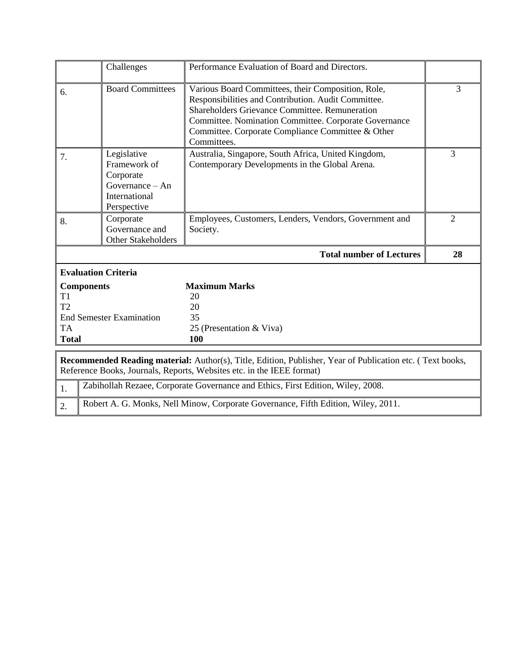|                                       | Challenges                                                                                    | Performance Evaluation of Board and Directors.                                                                                                                                                                                                                                                  |                |
|---------------------------------------|-----------------------------------------------------------------------------------------------|-------------------------------------------------------------------------------------------------------------------------------------------------------------------------------------------------------------------------------------------------------------------------------------------------|----------------|
| 6.                                    | <b>Board Committees</b>                                                                       | Various Board Committees, their Composition, Role,<br>Responsibilities and Contribution. Audit Committee.<br><b>Shareholders Grievance Committee. Remuneration</b><br>Committee. Nomination Committee. Corporate Governance<br>Committee. Corporate Compliance Committee & Other<br>Committees. | 3              |
| 7.                                    | Legislative<br>Framework of<br>Corporate<br>Governance $-$ An<br>International<br>Perspective | Australia, Singapore, South Africa, United Kingdom,<br>Contemporary Developments in the Global Arena.                                                                                                                                                                                           | 3              |
| 8.                                    | Corporate<br>Governance and<br>Other Stakeholders                                             | Employees, Customers, Lenders, Vendors, Government and<br>Society.                                                                                                                                                                                                                              | $\mathfrak{2}$ |
|                                       |                                                                                               |                                                                                                                                                                                                                                                                                                 |                |
|                                       |                                                                                               | <b>Total number of Lectures</b>                                                                                                                                                                                                                                                                 | 28             |
|                                       | <b>Evaluation Criteria</b>                                                                    |                                                                                                                                                                                                                                                                                                 |                |
| T1<br>T2<br><b>TA</b><br><b>Total</b> | <b>Components</b><br><b>End Semester Examination</b>                                          | <b>Maximum Marks</b><br>20<br>20<br>35<br>25 (Presentation & Viva)<br>100                                                                                                                                                                                                                       |                |
|                                       |                                                                                               | Recommended Reading material: Author(s), Title, Edition, Publisher, Year of Publication etc. (Text books,<br>Reference Books, Journals, Reports, Websites etc. in the IEEE format)                                                                                                              |                |
| 1.                                    |                                                                                               | Zabihollah Rezaee, Corporate Governance and Ethics, First Edition, Wiley, 2008.                                                                                                                                                                                                                 |                |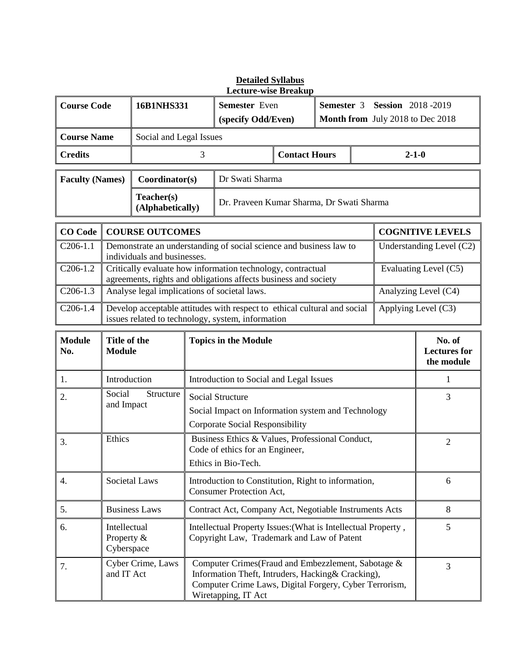|                        |                                                                                                                                                      |                                              |                                                               | <b>Lecture-wise Breakup</b>                                                                                                                                                               |                      |  |                                  |             |                                             |
|------------------------|------------------------------------------------------------------------------------------------------------------------------------------------------|----------------------------------------------|---------------------------------------------------------------|-------------------------------------------------------------------------------------------------------------------------------------------------------------------------------------------|----------------------|--|----------------------------------|-------------|---------------------------------------------|
| <b>Course Code</b>     |                                                                                                                                                      | 16B1NHS331                                   |                                                               | <b>Semester</b> Even<br>Semester 3                                                                                                                                                        |                      |  | <b>Session</b> 2018-2019         |             |                                             |
|                        |                                                                                                                                                      | (specify Odd/Even)                           |                                                               |                                                                                                                                                                                           |                      |  | Month from July 2018 to Dec 2018 |             |                                             |
| <b>Course Name</b>     |                                                                                                                                                      | Social and Legal Issues                      |                                                               |                                                                                                                                                                                           |                      |  |                                  |             |                                             |
| <b>Credits</b>         |                                                                                                                                                      |                                              | 3                                                             |                                                                                                                                                                                           | <b>Contact Hours</b> |  |                                  | $2 - 1 - 0$ |                                             |
| <b>Faculty (Names)</b> |                                                                                                                                                      | Coordinator(s)                               |                                                               | Dr Swati Sharma                                                                                                                                                                           |                      |  |                                  |             |                                             |
|                        |                                                                                                                                                      | Teacher(s)                                   | Dr. Praveen Kumar Sharma, Dr Swati Sharma<br>(Alphabetically) |                                                                                                                                                                                           |                      |  |                                  |             |                                             |
| <b>CO</b> Code         |                                                                                                                                                      | <b>COURSE OUTCOMES</b>                       |                                                               |                                                                                                                                                                                           |                      |  |                                  |             | <b>COGNITIVE LEVELS</b>                     |
| $C206-1.1$             |                                                                                                                                                      | individuals and businesses.                  |                                                               | Demonstrate an understanding of social science and business law to                                                                                                                        |                      |  |                                  |             | Understanding Level (C2)                    |
| $C206-1.2$             |                                                                                                                                                      |                                              |                                                               | Critically evaluate how information technology, contractual<br>agreements, rights and obligations affects business and society                                                            |                      |  |                                  |             | Evaluating Level (C5)                       |
| $C206-1.3$             |                                                                                                                                                      | Analyse legal implications of societal laws. |                                                               |                                                                                                                                                                                           |                      |  |                                  |             | Analyzing Level (C4)                        |
| $C206-1.4$             | Develop acceptable attitudes with respect to ethical cultural and social<br>Applying Level (C3)<br>issues related to technology, system, information |                                              |                                                               |                                                                                                                                                                                           |                      |  |                                  |             |                                             |
| <b>Module</b><br>No.   | Title of the<br><b>Module</b>                                                                                                                        |                                              |                                                               | <b>Topics in the Module</b>                                                                                                                                                               |                      |  |                                  |             | No. of<br><b>Lectures</b> for<br>the module |
| 1.                     | Introduction                                                                                                                                         |                                              | Introduction to Social and Legal Issues                       |                                                                                                                                                                                           |                      |  |                                  | 1           |                                             |
| 2.                     | Social<br>Structure<br>and Impact                                                                                                                    |                                              |                                                               | Social Structure<br>Social Impact on Information system and Technology<br><b>Corporate Social Responsibility</b>                                                                          |                      |  |                                  | 3           |                                             |
| 3.                     | Ethics<br>Business Ethics & Values, Professional Conduct,<br>Code of ethics for an Engineer,<br>Ethics in Bio-Tech.                                  |                                              |                                                               | $\overline{2}$                                                                                                                                                                            |                      |  |                                  |             |                                             |
| 4.                     |                                                                                                                                                      | Societal Laws                                |                                                               | Introduction to Constitution, Right to information,<br><b>Consumer Protection Act,</b>                                                                                                    |                      |  |                                  |             | 6                                           |
| 5.                     |                                                                                                                                                      | <b>Business Laws</b>                         |                                                               | Contract Act, Company Act, Negotiable Instruments Acts                                                                                                                                    |                      |  |                                  | 8           |                                             |
| 6.                     | Intellectual<br>Property &<br>Cyberspace                                                                                                             |                                              |                                                               | Intellectual Property Issues: (What is Intellectual Property,<br>Copyright Law, Trademark and Law of Patent                                                                               |                      |  | 5                                |             |                                             |
| 7.                     | and IT Act                                                                                                                                           | Cyber Crime, Laws                            |                                                               | Computer Crimes (Fraud and Embezzlement, Sabotage &<br>Information Theft, Intruders, Hacking& Cracking),<br>Computer Crime Laws, Digital Forgery, Cyber Terrorism,<br>Wiretapping, IT Act |                      |  |                                  |             | 3                                           |